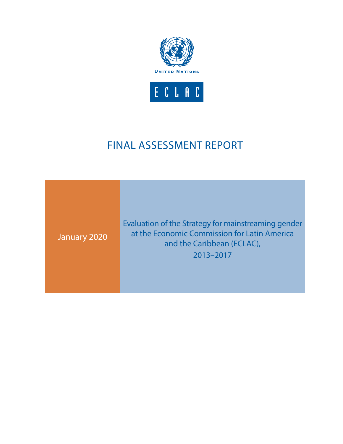

## FINAL ASSESSMENT REPORT

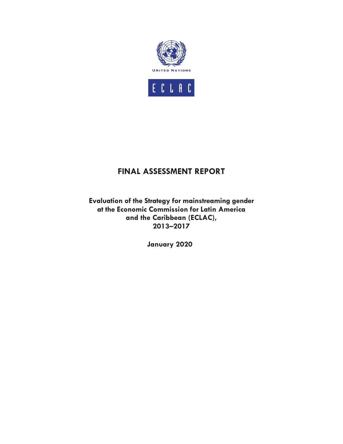

## **FINAL ASSESSMENT REPORT**

**Evaluation of the Strategy for mainstreaming gender at the Economic Commission for Latin America and the Caribbean (ECLAC), 2013–2017**

**January 2020**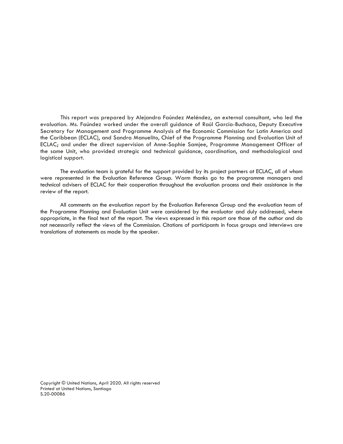This report was prepared by Alejandra Faúndez Meléndez, an external consultant, who led the evaluation. Ms. Faúndez worked under the overall guidance of Raúl García-Buchaca, Deputy Executive Secretary for Management and Programme Analysis of the Economic Commission for Latin America and the Caribbean (ECLAC), and Sandra Manuelito, Chief of the Programme Planning and Evaluation Unit of ECLAC; and under the direct supervision of Anne-Sophie Samjee, Programme Management Officer of the same Unit, who provided strategic and technical guidance, coordination, and methodological and logistical support.

The evaluation team is grateful for the support provided by its project partners at ECLAC, all of whom were represented in the Evaluation Reference Group. Warm thanks go to the programme managers and technical advisers of ECLAC for their cooperation throughout the evaluation process and their assistance in the review of the report.

All comments on the evaluation report by the Evaluation Reference Group and the evaluation team of the Programme Planning and Evaluation Unit were considered by the evaluator and duly addressed, where appropriate, in the final text of the report. The views expressed in this report are those of the author and do not necessarily reflect the views of the Commission. Citations of participants in focus groups and interviews are translations of statements as made by the speaker.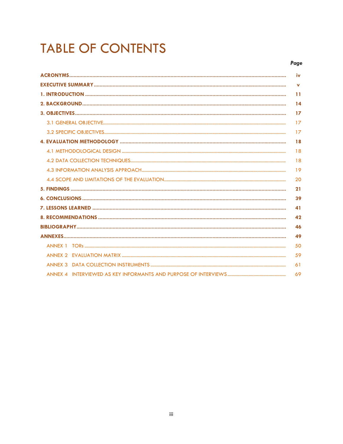# **TABLE OF CONTENTS**

|                | iv           |
|----------------|--------------|
|                | $\mathbf{v}$ |
|                | 11           |
|                | 14           |
|                | 17           |
|                | 17           |
|                | 17           |
|                | 18           |
|                | 18           |
|                | 18           |
|                | 19           |
|                | 20           |
|                | 21           |
|                | 39           |
|                | 41           |
|                | 42           |
|                | 46           |
|                | 49           |
|                | 50           |
|                | 59           |
| <b>ANNEX 3</b> | 61           |
|                | 69           |
|                |              |

Page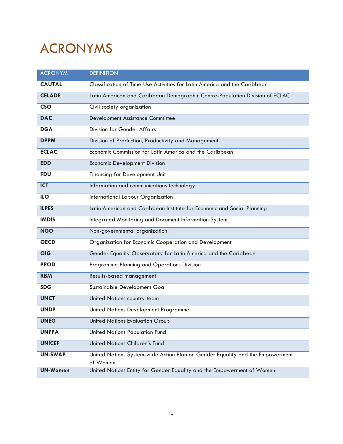# ACRONYMS

| <b>ACRONYM</b>  | <b>DEFINITION</b>                                                                         |
|-----------------|-------------------------------------------------------------------------------------------|
| <b>CAUTAL</b>   | Classification of Time-Use Activities for Latin America and the Caribbean                 |
| <b>CELADE</b>   | Latin American and Caribbean Demographic Centre-Population Division of ECLAC              |
| <b>CSO</b>      | Civil society organization                                                                |
| <b>DAC</b>      | <b>Development Assistance Committee</b>                                                   |
| <b>DGA</b>      | <b>Division for Gender Affairs</b>                                                        |
| <b>DPPM</b>     | Division of Production, Productivity and Management                                       |
| <b>ECLAC</b>    | Economic Commission for Latin America and the Caribbean                                   |
| <b>EDD</b>      | <b>Economic Development Division</b>                                                      |
| <b>FDU</b>      | <b>Financing for Development Unit</b>                                                     |
| <b>ICT</b>      | Information and communications technology                                                 |
| <b>ILO</b>      | International Labour Organization                                                         |
| <b>ILPES</b>    | Latin American and Caribbean Institute for Economic and Social Planning                   |
| <b>IMDIS</b>    | Integrated Monitoring and Document Information System                                     |
| <b>NGO</b>      | Non-governmental organization                                                             |
| <b>OECD</b>     | Organization for Economic Cooperation and Development                                     |
| <b>OIG</b>      | Gender Equality Observatory for Latin America and the Caribbean                           |
| <b>PPOD</b>     | Programme Planning and Operations Division                                                |
| <b>RBM</b>      | Results-based management                                                                  |
| <b>SDG</b>      | Sustainable Development Goal                                                              |
| <b>UNCT</b>     | United Nations country team                                                               |
| <b>UNDP</b>     | United Nations Development Programme                                                      |
| <b>UNEG</b>     | <b>United Nations Evaluation Group</b>                                                    |
| <b>UNFPA</b>    | <b>United Nations Population Fund</b>                                                     |
| <b>UNICEF</b>   | <b>United Nations Children's Fund</b>                                                     |
| <b>UN-SWAP</b>  | United Nations System-wide Action Plan on Gender Equality and the Empowerment<br>of Women |
| <b>UN-Women</b> | United Nations Entity for Gender Equality and the Empowerment of Women                    |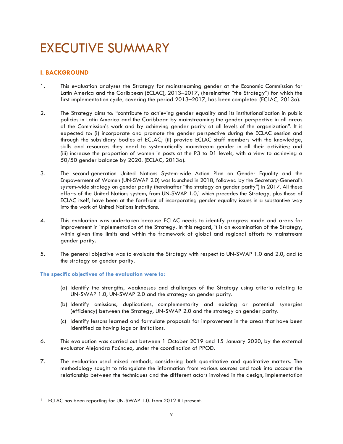## EXECUTIVE SUMMARY

### **I. BACKGROUND**

- 1. This evaluation analyses the Strategy for mainstreaming gender at the Economic Commission for Latin America and the Caribbean (ECLAC), 2013–2017, (hereinafter "the Strategy") for which the first implementation cycle, covering the period 2013–2017, has been completed (ECLAC, 2013a).
- 2. The Strategy aims to: "contribute to achieving gender equality and its institutionalization in public policies in Latin America and the Caribbean by mainstreaming the gender perspective in all areas of the Commission's work and by achieving gender parity at all levels of the organization". It is expected to: (i) incorporate and promote the gender perspective during the ECLAC session and through the subsidiary bodies of ECLAC; (ii) provide ECLAC staff members with the knowledge, skills and resources they need to systematically mainstream gender in all their activities; and (iii) increase the proportion of women in posts at the P3 to D1 levels, with a view to achieving a 50/50 gender balance by 2020. (ECLAC, 2013a).
- 3. The second-generation United Nations System-wide Action Plan on Gender Equality and the Empowerment of Women (UN-SWAP 2.0) was launched in 2018, followed by the Secretary-General's system-wide strategy on gender parity (hereinafter "the strategy on gender parity") in 2017. All these efforts of the United Nations system, from UN-SWAP 1.0,<sup>1</sup> which precedes the Strategy, plus those of ECLAC itself, have been at the forefront of incorporating gender equality issues in a substantive way into the work of United Nations institutions.
- 4. This evaluation was undertaken because ECLAC needs to identify progress made and areas for improvement in implementation of the Strategy. In this regard, it is an examination of the Strategy, within given time limits and within the framework of global and regional efforts to mainstream gender parity.
- 5. The general objective was to evaluate the Strategy with respect to UN-SWAP 1.0 and 2.0, and to the strategy on gender parity.

**The specific objectives of the evaluation were to:** 

- (a) Identify the strengths, weaknesses and challenges of the Strategy using criteria relating to UN-SWAP 1.0, UN-SWAP 2.0 and the strategy on gender parity.
- (b) Identify omissions, duplications, complementarity and existing or potential synergies (efficiency) between the Strategy, UN-SWAP 2.0 and the strategy on gender parity.
- (c) Identify lessons learned and formulate proposals for improvement in the areas that have been identified as having lags or limitations.
- 6. This evaluation was carried out between 1 October 2019 and 15 January 2020, by the external evaluator Alejandra Faúndez, under the coordination of PPOD.
- 7. The evaluation used mixed methods, considering both quantitative and qualitative matters. The methodology sought to triangulate the information from various sources and took into account the relationship between the techniques and the different actors involved in the design, implementation

<sup>&</sup>lt;sup>1</sup> ECLAC has been reporting for UN-SWAP 1.0. from 2012 till present.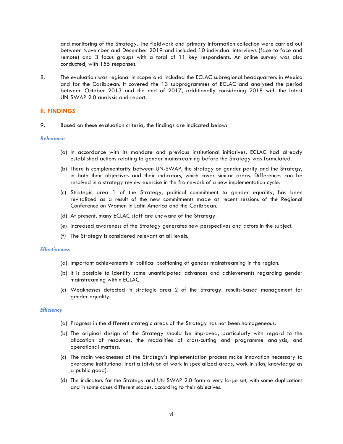and monitoring of the Strategy. The fieldwork and primary information collection were carried out between November and December 2019 and included 10 individual interviews (face-to-face and remote) and 3 focus groups with a total of 11 key respondents. An online survey was also conducted, with 155 responses.

8. The evaluation was regional in scope and included the ECLAC subregional headquarters in Mexico and for the Caribbean. It covered the 13 subprogrammes of ECLAC and analysed the period between October 2013 and the end of 2017, additionally considering 2018 with the latest UN-SWAP 2.0 analysis and report.

### **II. FINDINGS**

9. Based on these evaluation criteria, the findings are indicated below:

### Relevance

- (a) In accordance with its mandate and previous institutional initiatives, ECLAC had already established actions relating to gender mainstreaming before the Strategy was formulated.
- (b) There is complementarity between UN-SWAP, the strategy on gender parity and the Strategy, in both their objectives and their indicators, which cover similar areas. Differences can be resolved in a strategy review exercise in the framework of a new implementation cycle.
- (c) Strategic area 1 of the Strategy, political commitment to gender equality, has been revitalized as a result of the new commitments made at recent sessions of the Regional Conference on Women in Latin America and the Caribbean.
- (d) At present, many ECLAC staff are unaware of the Strategy.
- (e) Increased awareness of the Strategy generates new perspectives and actors in the subject.
- (f) The Strategy is considered relevant at all levels.

### **Effectiveness**

- (a) Important achievements in political positioning of gender mainstreaming in the region.
- (b) It is possible to identify some unanticipated advances and achievements regarding gender mainstreaming within ECLAC.
- (c) Weaknesses detected in strategic area 2 of the Strategy: results-based management for gender equality.

## *Efficiency*

- (a) Progress in the different strategic areas of the Strategy has not been homogeneous.
- (b) The original design of the Strategy should be improved, particularly with regard to the allocation of resources, the modalities of cross-cutting and programme analysis, and operational matters.
- (c) The main weaknesses of the Strategy's implementation process make innovation necessary to overcome institutional inertia (division of work in specialized areas, work in silos, knowledge as a public good).
- (d) The indicators for the Strategy and UN-SWAP 2.0 form a very large set, with some duplications and in some cases different scopes, according to their objectives.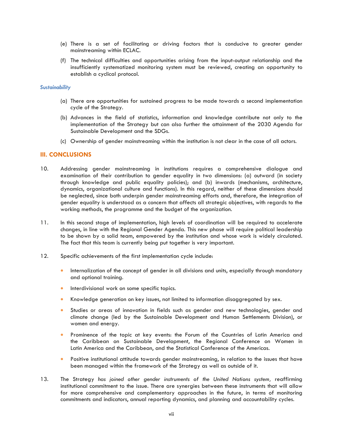- (e) There is a set of facilitating or driving factors that is conducive to greater gender mainstreaming within ECLAC.
- (f) The technical difficulties and opportunities arising from the input-output relationship and the insufficiently systematized monitoring system must be reviewed, creating an opportunity to establish a cyclical protocol.

### **Sustainability** *Sustainability*

- (a) There are opportunities for sustained progress to be made towards a second implementation cycle of the Strategy.
- (b) Advances in the field of statistics, information and knowledge contribute not only to the implementation of the Strategy but can also further the attainment of the 2030 Agenda for Sustainable Development and the SDGs.
- (c) Ownership of gender mainstreaming within the institution is not clear in the case of all actors.

### **III. CONCLUSIONS**

- 10. Addressing gender mainstreaming in institutions requires a comprehensive dialogue and examination of their contribution to gender equality in two dimensions: (a) outward (in society through knowledge and public equality policies); and (b) inwards (mechanisms, architecture, dynamics, organizational culture and functions). In this regard, neither of these dimensions should be neglected, since both underpin gender mainstreaming efforts and, therefore, the integration of gender equality is understood as a concern that affects all strategic objectives, with regards to the working methods, the programme and the budget of the organization.
- 11. In this second stage of implementation, high levels of coordination will be required to accelerate changes, in line with the Regional Gender Agenda. This new phase will require political leadership to be shown by a solid team, empowered by the institution and whose work is widely circulated. The fact that this team is currently being put together is very important.
- 12. Specific achievements of the first implementation cycle include:
	- Internalization of the concept of gender in all divisions and units, especially through mandatory and optional training.
	- Interdivisional work on some specific topics.
	- Knowledge generation on key issues, not limited to information disaggregated by sex.
	- Studies or areas of innovation in fields such as gender and new technologies, gender and climate change (led by the Sustainable Development and Human Settlements Division), or women and energy.
	- Prominence of the topic at key events: the Forum of the Countries of Latin America and the Caribbean on Sustainable Development, the Regional Conference on Women in Latin America and the Caribbean, and the Statistical Conference of the Americas.
	- Positive institutional attitude towards gender mainstreaming, in relation to the issues that have been managed within the framework of the Strategy as well as outside of it.
- 13. The Strategy *has joined other gender instruments of the United Nations system,* reaffirming institutional commitment to the issue. There are synergies between these instruments that will allow for more comprehensive and complementary approaches in the future, in terms of monitoring commitments and indicators, annual reporting dynamics, and planning and accountability cycles.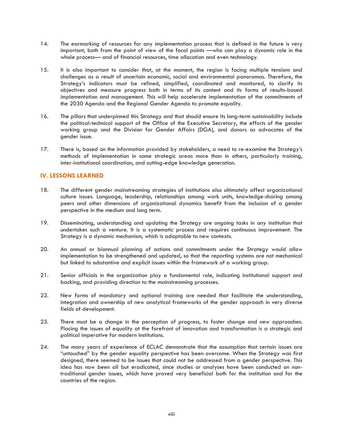- 14. The earmarking of resources for any implementation process that is defined in the future is very important, both from the point of view of the focal points —who can play a dynamic role in the whole process— and of financial resources, time allocation and even technology.
- 15. It is also important to consider that, at the moment, the region is facing multiple tensions and challenges as a result of uncertain economic, social and environmental panoramas. Therefore, the Strategy's indicators must be refined, simplified, coordinated and monitored, to clarify its objectives and measure progress both in terms of its content and its forms of results-based implementation and management. This will help accelerate implementation of the commitments of the 2030 Agenda and the Regional Gender Agenda to promote equality.
- 16. The pillars that underpinned this Strategy and that should ensure its long-term sustainability include the political-technical support of the Office of the Executive Secretary, the efforts of the gender working group and the Division for Gender Affairs (DGA), and donors as advocates of the gender issue.
- 17. There is, based on the information provided by stakeholders, a need to re-examine the Strategy's methods of implementation in some strategic areas more than in others, particularly training, inter-institutional coordination, and cutting-edge knowledge generation.

### **IV. LESSONS LEARNED**

- 18. The different gender mainstreaming strategies of institutions also ultimately affect organizational culture issues. Language, leadership, relationships among work units, knowledge-sharing among peers and other dimensions of organizational dynamics benefit from the inclusion of a gender perspective in the medium and long term.
- 19. Disseminating, understanding and updating the Strategy are ongoing tasks in any institution that undertakes such a venture. It is a systematic process and requires continuous improvement. The Strategy is a dynamic mechanism, which is adaptable to new contexts.
- 20. An annual or biannual planning of actions and commitments under the Strategy would allow implementation to be strengthened and updated, so that the reporting systems are not mechanical but linked to substantive and explicit issues within the framework of a working group.
- 21. Senior officials in the organization play a fundamental role, indicating institutional support and backing, and providing direction to the mainstreaming processes.
- 22. New forms of mandatory and optional training are needed that facilitate the understanding, integration and ownership of new analytical frameworks of the gender approach in very diverse fields of development.
- 23. There must be a change in the perception of progress, to foster change and new approaches. Placing the issues of equality at the forefront of innovation and transformation is a strategic and political imperative for modern institutions.
- 24. The many years of experience of ECLAC demonstrate that the assumption that certain issues are "untouched" by the gender equality perspective has been overcome. When the Strategy was first designed, there seemed to be issues that could not be addressed from a gender perspective. This idea has now been all but eradicated, since studies or analyses have been conducted on nontraditional gender issues, which have proved very beneficial both for the institution and for the countries of the region.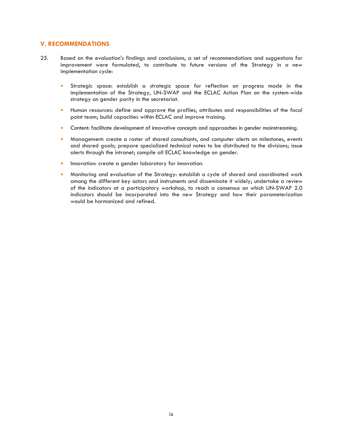### **V. RECOMMENDATIONS**

- 25. Based on the evaluation's findings and conclusions, a set of recommendations and suggestions for improvement were formulated, to contribute to future versions of the Strategy in a new implementation cycle:
	- Strategic space: establish a strategic space for reflection on progress made in the implementation of the Strategy, UN-SWAP and the ECLAC Action Plan on the system-wide strategy on gender parity in the secretariat.
	- Human resources: define and approve the profiles, attributes and responsibilities of the focal point team; build capacities within ECLAC and improve training.
	- Content: facilitate development of innovative concepts and approaches in gender mainstreaming.
	- Management: create a roster of shared consultants, and computer alerts on milestones, events and shared goals; prepare specialized technical notes to be distributed to the divisions; issue alerts through the intranet; compile all ECLAC knowledge on gender.
	- Innovation: create a gender laboratory for innovation.
	- Monitoring and evaluation of the Strategy: establish a cycle of shared and coordinated work among the different key actors and instruments and disseminate it widely; undertake a review of the indicators at a participatory workshop, to reach a consensus on which UN-SWAP 2.0 indicators should be incorporated into the new Strategy and how their parameterization would be harmonized and refined.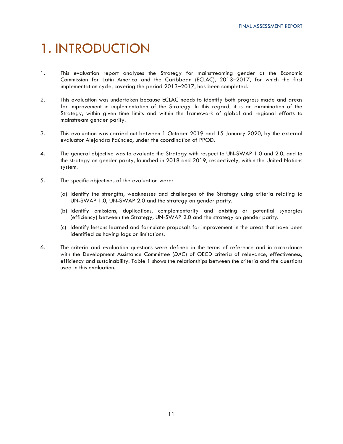## 1. INTRODUCTION

- 1. This evaluation report analyses the Strategy for mainstreaming gender at the Economic Commission for Latin America and the Caribbean (ECLAC), 2013–2017, for which the first implementation cycle, covering the period 2013–2017, has been completed.
- 2. This evaluation was undertaken because ECLAC needs to identify both progress made and areas for improvement in implementation of the Strategy. In this regard, it is an examination of the Strategy, within given time limits and within the framework of global and regional efforts to mainstream gender parity.
- 3. This evaluation was carried out between 1 October 2019 and 15 January 2020, by the external evaluator Alejandra Faúndez, under the coordination of PPOD.
- 4. The general objective was to evaluate the Strategy with respect to UN-SWAP 1.0 and 2.0, and to the strategy on gender parity, launched in 2018 and 2019, respectively, within the United Nations system.
- 5. The specific objectives of the evaluation were:
	- (a) Identify the strengths, weaknesses and challenges of the Strategy using criteria relating to UN-SWAP 1.0, UN-SWAP 2.0 and the strategy on gender parity.
	- (b) Identify omissions, duplications, complementarity and existing or potential synergies (efficiency) between the Strategy, UN-SWAP 2.0 and the strategy on gender parity.
	- (c) Identify lessons learned and formulate proposals for improvement in the areas that have been identified as having lags or limitations.
- 6. The criteria and evaluation questions were defined in the terms of reference and in accordance with the Development Assistance Committee (*DAC*) of OECD criteria of relevance, effectiveness, efficiency and sustainability. Table 1 shows the relationships between the criteria and the questions used in this evaluation.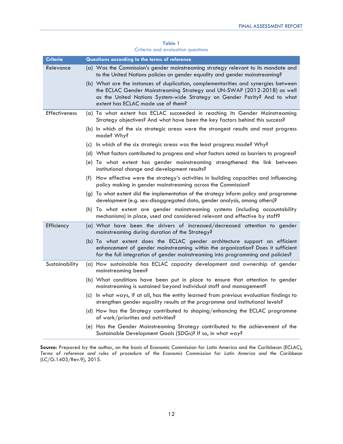| Table 1 |  |                                   |  |  |  |
|---------|--|-----------------------------------|--|--|--|
|         |  | Criteria and evaluation questions |  |  |  |

| Criteria       | Questions according to the terms of reference                                                                                                                                                                                                                                   |
|----------------|---------------------------------------------------------------------------------------------------------------------------------------------------------------------------------------------------------------------------------------------------------------------------------|
| Relevance      | (a) Was the Commission's gender mainstreaming strategy relevant to its mandate and<br>to the United Nations policies on gender equality and gender mainstreaming?                                                                                                               |
|                | (b) What are the instances of duplication, complementarities and synergies between<br>the ECLAC Gender Mainstreaming Strategy and UN-SWAP (2012-2018) as well<br>as the United Nations System-wide Strategy on Gender Parity? And to what<br>extent has ECLAC made use of them? |
| Effectiveness  | (a) To what extent has ECLAC succeeded in reaching its Gender Mainstreaming<br>Strategy objectives? And what have been the key factors behind this success?                                                                                                                     |
|                | (b) In which of the six strategic areas were the strongest results and most progress<br>made? Why?                                                                                                                                                                              |
|                | (c) In which of the six strategic areas was the least progress made? Why?                                                                                                                                                                                                       |
|                | (d) What factors contributed to progress and what factors acted as barriers to progress?                                                                                                                                                                                        |
|                | (e) To what extent has gender mainstreaming strengthened the link between<br>institutional change and development results?                                                                                                                                                      |
|                | (f) How effective were the strategy's activities in building capacities and influencing<br>policy making in gender mainstreaming across the Commission?                                                                                                                         |
|                | (g) To what extent did the implementation of the strategy inform policy and programme<br>development (e.g. sex-disaggregated data, gender analysis, among others)?                                                                                                              |
|                | (h) To what extent are gender mainstreaming systems (including accountability<br>mechanisms) in place, used and considered relevant and effective by staff?                                                                                                                     |
| Efficiency     | (a) What have been the drivers of increased/decreased attention to gender<br>mainstreaming during duration of the Strategy?                                                                                                                                                     |
|                | (b) To what extent does the ECLAC gender architecture support an efficient<br>enhancement of gender mainstreaming within the organization? Does it sufficient<br>for the full integration of gender mainstreaming into programming and policies?                                |
| Sustainability | (a) How sustainable has ECLAC capacity development and ownership of gender<br>mainstreaming been?                                                                                                                                                                               |
|                | (b) What conditions have been put in place to ensure that attention to gender<br>mainstreaming is sustained beyond individual staff and management?                                                                                                                             |
|                | (c) In what ways, if at all, has the entity learned from previous evaluation findings to<br>strengthen gender equality results at the programme and institutional levels?                                                                                                       |
|                | (d) How has the Strategy contributed to shaping/enhancing the ECLAC programme<br>of work/priorities and activities?                                                                                                                                                             |
|                | (e) Has the Gender Mainstreaming Strategy contributed to the achievement of the<br>Sustainable Development Goals (SDGs)? If so, in what way?                                                                                                                                    |

**Source:** Prepared by the author, on the basis of Economic Commission for Latin America and the Caribbean (ECLAC), *Terms of reference and rules of procedure of the Economic Commission for Latin America and the Caribbean* (LC/G.1403/Rev.9), 2015.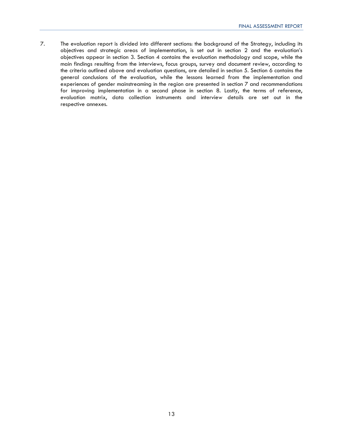7. The evaluation report is divided into different sections: the background of the Strategy, including its objectives and strategic areas of implementation, is set out in section 2 and the evaluation's objectives appear in section 3. Section 4 contains the evaluation methodology and scope, while the main findings resulting from the interviews, focus groups, survey and document review, according to the criteria outlined above and evaluation questions, are detailed in section 5. Section 6 contains the general conclusions of the evaluation, while the lessons learned from the implementation and experiences of gender mainstreaming in the region are presented in section 7 and recommendations for improving implementation in a second phase in section 8. Lastly, the terms of reference, evaluation matrix, data collection instruments and interview details are set out in the respective annexes.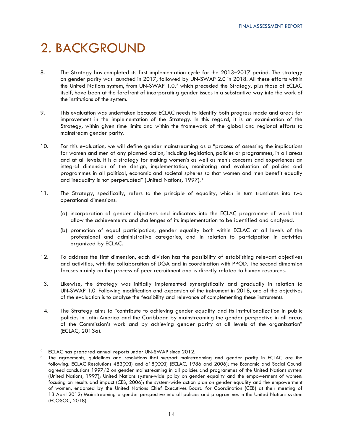## 2. BACKGROUND

- 8. The Strategy has completed its first implementation cycle for the 2013–2017 period. The strategy on gender parity was launched in 2017, followed by UN-SWAP 2.0 in 2018. All these efforts within the United Nations system, from UN-SWAP 1.0,2 which preceded the Strategy, plus those of ECLAC itself, have been at the forefront of incorporating gender issues in a substantive way into the work of the institutions of the system.
- 9. This evaluation was undertaken because ECLAC needs to identify both progress made and areas for improvement in the implementation of the Strategy. In this regard, it is an examination of the Strategy, within given time limits and within the framework of the global and regional efforts to mainstream gender parity.
- 10. For this evaluation, we will define gender mainstreaming as a "process of assessing the implications for women and men of any planned action, including legislation, policies or programmes, in all areas and at all levels. It is a strategy for making women's as well as men's concerns and experiences an integral dimension of the design, implementation, monitoring and evaluation of policies and programmes in all political, economic and societal spheres so that women and men benefit equally and inequality is not perpetuated" (United Nations, 1997).3
- 11. The Strategy, specifically, refers to the principle of equality, which in turn translates into two operational dimensions:
	- (a) incorporation of gender objectives and indicators into the ECLAC programme of work that allow the achievements and challenges of its implementation to be identified and analysed.
	- (b) promotion of equal participation, gender equality both within ECLAC at all levels of the professional and administrative categories, and in relation to participation in activities organized by ECLAC.
- 12. To address the first dimension, each division has the possibility of establishing relevant objectives and activities, with the collaboration of DGA and in coordination with PPOD. The second dimension focuses mainly on the process of peer recruitment and is directly related to human resources.
- 13. Likewise, the Strategy was initially implemented synergistically and gradually in relation to UN-SWAP 1.0. Following modification and expansion of the instrument in 2018, one of the objectives of the evaluation is to analyse the feasibility and relevance of complementing these instruments.
- 14. The Strategy aims to "contribute to achieving gender equality and its institutionalization in public policies in Latin America and the Caribbean by mainstreaming the gender perspective in all areas of the Commission's work and by achieving gender parity at all levels of the organization" (ECLAC, 2013a).

<sup>&</sup>lt;sup>2</sup> ECLAC has prepared annual reports under UN-SWAP since 2012.<br><sup>3</sup> The agreements, guidelines and resolutions that support mainstreaming and gender parity in ECLAC are the following: ECLAC Resolutions 483(XXI) and 618(XXXI) (ECLAC, 1986 and 2006); the Economic and Social Council agreed conclusions 1997/2 on gender mainstreaming in all policies and programmes of the United Nations system (United Nations, 1997); United Nations system-wide policy on gender equality and the empowerment of women: focusing on results and impact (CEB, 2006); the system-wide action plan on gender equality and the empowerment of women, endorsed by the United Nations Chief Executives Board for Coordination (CEB) at their meeting of 13 April 2012; Mainstreaming a gender perspective into all policies and programmes in the United Nations system (ECOSOC, 2018).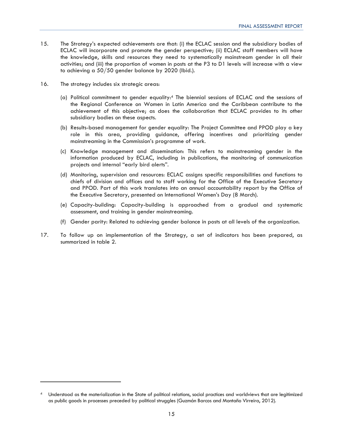- 15. The Strategy's expected achievements are that: (i) the ECLAC session and the subsidiary bodies of ECLAC will incorporate and promote the gender perspective; (ii) ECLAC staff members will have the knowledge, skills and resources they need to systematically mainstream gender in all their activities; and (iii) the proportion of women in posts at the P3 to D1 levels will increase with a view to achieving a 50/50 gender balance by 2020 (Ibid.).
- 16. The strategy includes six strategic areas:
	- (a) Political commitment to gender equality:4 The biennial sessions of ECLAC and the sessions of the Regional Conference on Women in Latin America and the Caribbean contribute to the achievement of this objective; as does the collaboration that ECLAC provides to its other subsidiary bodies on these aspects.
	- (b) Results-based management for gender equality: The Project Committee and PPOD play a key role in this area, providing guidance, offering incentives and prioritizing gender mainstreaming in the Commission's programme of work.
	- (c) Knowledge management and dissemination: This refers to mainstreaming gender in the information produced by ECLAC, including in publications, the monitoring of communication projects and internal "early bird alerts".
	- (d) Monitoring, supervision and resources: ECLAC assigns specific responsibilities and functions to chiefs of division and offices and to staff working for the Office of the Executive Secretary and PPOD. Part of this work translates into an annual accountability report by the Office of the Executive Secretary, presented on International Women's Day (8 March).
	- (e) Capacity-building: Capacity-building is approached from a gradual and systematic assessment, and training in gender mainstreaming.
	- (f) Gender parity: Related to achieving gender balance in posts at all levels of the organization.
- 17. To follow up on implementation of the Strategy, a set of indicators has been prepared, as summarized in table 2.

<sup>4</sup> Understood as the materialization in the State of political relations, social practices and worldviews that are legitimized as public goods in processes preceded by political struggles (Guzmán Barcos and Montaño Virreira, 2012).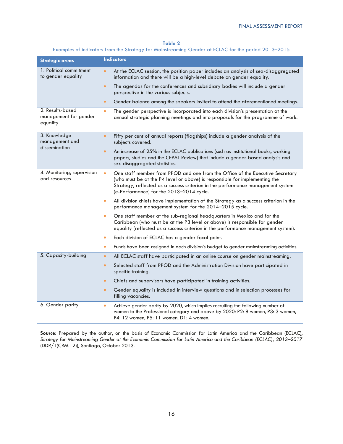### **Table 2**

### Examples of indicators from the Strategy for Mainstreaming Gender at ECLAC for the period 2013–2015

| <b>Strategic areas</b>                                | <b>Indicators</b>                                                                                                                                                                                                                                                                          |  |  |
|-------------------------------------------------------|--------------------------------------------------------------------------------------------------------------------------------------------------------------------------------------------------------------------------------------------------------------------------------------------|--|--|
| 1. Political commitment<br>to gender equality         | At the ECLAC session, the position paper includes an analysis of sex-disaggregated<br>$\bullet$<br>information and there will be a high-level debate on gender equality.                                                                                                                   |  |  |
|                                                       | The agendas for the conferences and subsidiary bodies will include a gender<br>$\bullet$<br>perspective in the various subjects.                                                                                                                                                           |  |  |
|                                                       | Gender balance among the speakers invited to attend the aforementioned meetings.<br>$\bullet$                                                                                                                                                                                              |  |  |
| 2. Results-based<br>management for gender<br>equality | The gender perspective is incorporated into each division's presentation at the<br>$\bullet$<br>annual strategic planning meetings and into proposals for the programme of work.                                                                                                           |  |  |
| 3. Knowledge<br>management and                        | $\bullet$<br>Fifty per cent of annual reports (flagships) include a gender analysis of the<br>subjects covered.                                                                                                                                                                            |  |  |
| dissemination                                         | An increase of 25% in the ECLAC publications (such as institutional books, working<br>$\bullet$<br>papers, studies and the CEPAL Review) that include a gender-based analysis and<br>sex-disaggregated statistics.                                                                         |  |  |
| 4. Monitoring, supervision<br>and resources           | One staff member from PPOD and one from the Office of the Executive Secretary<br>(who must be at the P4 level or above) is responsible for implementing the<br>Strategy, reflected as a success criterion in the performance management system<br>(e-Performance) for the 2013-2014 cycle. |  |  |
|                                                       | All division chiefs have implementation of the Strategy as a success criterion in the<br>$\bullet$<br>performance management system for the 2014-2015 cycle.                                                                                                                               |  |  |
|                                                       | One staff member at the sub-regional headquarters in Mexico and for the<br>Caribbean (who must be at the P3 level or above) is responsible for gender<br>equality (reflected as a success criterion in the performance management system).                                                 |  |  |
|                                                       | Each division of ECLAC has a gender focal point.                                                                                                                                                                                                                                           |  |  |
|                                                       | Funds have been assigned in each division's budget to gender mainstreaming activities.<br>$\bullet$                                                                                                                                                                                        |  |  |
| 5. Capacity-building                                  | All ECLAC staff have participated in an online course on gender mainstreaming.<br>$\bullet$                                                                                                                                                                                                |  |  |
|                                                       | Selected staff from PPOD and the Administration Division have participated in<br>$\bullet$<br>specific training.                                                                                                                                                                           |  |  |
|                                                       | Chiefs and supervisors have participated in training activities.<br>$\bullet$                                                                                                                                                                                                              |  |  |
|                                                       | Gender equality is included in interview questions and in selection processes for<br>$\bullet$<br>filling vacancies.                                                                                                                                                                       |  |  |
| 6. Gender parity                                      | Achieve gender parity by 2020, which implies recruiting the following number of<br>$\bullet$<br>women to the Professional category and above by 2020: P2: 8 women, P3: 3 women,<br>P4: 12 women, P5: 11 women, D1: 4 women.                                                                |  |  |

**Source:** Prepared by the author, on the basis of Economic Commission for Latin America and the Caribbean (ECLAC), *Strategy for Mainstreaming Gender at the Economic Commission for Latin America and the Caribbean (ECLAC), 2013–2017* (DDR/1(CRM.12)), Santiago, October 2013.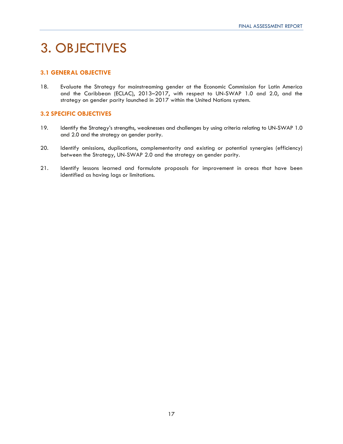## 3. OBJECTIVES

### **3.1 GENERAL OBJECTIVE**

18. Evaluate the Strategy for mainstreaming gender at the Economic Commission for Latin America and the Caribbean (ECLAC), 2013–2017, with respect to UN-SWAP 1.0 and 2.0, and the strategy on gender parity launched in 2017 within the United Nations system.

### **3.2 SPECIFIC OBJECTIVES**

- 19. Identify the Strategy's strengths, weaknesses and challenges by using criteria relating to UN-SWAP 1.0 and 2.0 and the strategy on gender parity.
- 20. Identify omissions, duplications, complementarity and existing or potential synergies (efficiency) between the Strategy, UN-SWAP 2.0 and the strategy on gender parity.
- 21. Identify lessons learned and formulate proposals for improvement in areas that have been identified as having lags or limitations.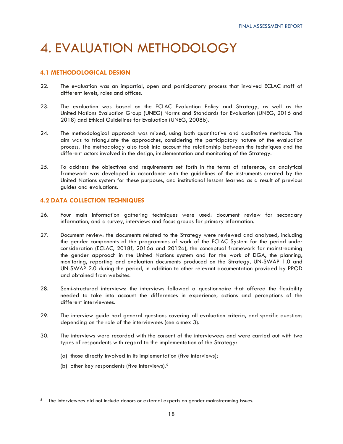## 4. EVALUATION METHODOLOGY

### **4.1 METHODOLOGICAL DESIGN**

- 22. The evaluation was an impartial, open and participatory process that involved ECLAC staff of different levels, roles and offices.
- 23. The evaluation was based on the ECLAC Evaluation Policy and Strategy, as well as the United Nations Evaluation Group (UNEG) Norms and Standards for Evaluation (UNEG, 2016 and 2018) and Ethical Guidelines for Evaluation (UNEG, 2008b).
- 24. The methodological approach was mixed, using both quantitative and qualitative methods. The aim was to triangulate the approaches, considering the participatory nature of the evaluation process. The methodology also took into account the relationship between the techniques and the different actors involved in the design, implementation and monitoring of the Strategy.
- 25. To address the objectives and requirements set forth in the terms of reference, an analytical framework was developed in accordance with the guidelines of the instruments created by the United Nations system for these purposes, and institutional lessons learned as a result of previous guides and evaluations.

### **4.2 DATA COLLECTION TECHNIQUES**

- 26. Four main information gathering techniques were used: document review for secondary information, and a survey, interviews and focus groups for primary information.
- 27. Document review: the documents related to the Strategy were reviewed and analysed, including the gender components of the programmes of work of the ECLAC System for the period under consideration (ECLAC, 2018f, 2016a and 2012a), the conceptual framework for mainstreaming the gender approach in the United Nations system and for the work of DGA, the planning, monitoring, reporting and evaluation documents produced on the Strategy, UN-SWAP 1.0 and UN-SWAP 2.0 during the period, in addition to other relevant documentation provided by PPOD and obtained from websites.
- 28. Semi-structured interviews: the interviews followed a questionnaire that offered the flexibility needed to take into account the differences in experience, actions and perceptions of the different interviewees.
- 29. The interview guide had general questions covering all evaluation criteria, and specific questions depending on the role of the interviewees (see annex 3).
- 30. The interviews were recorded with the consent of the interviewees and were carried out with two types of respondents with regard to the implementation of the Strategy:
	- (a) those directly involved in its implementation (five interviews);
	- (b) other key respondents (five interviews).5

 $5$  The interviewees did not include donors or external experts on gender mainstreaming issues.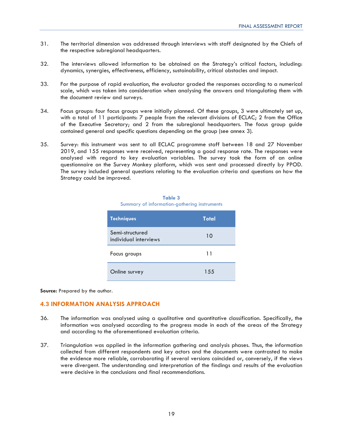- 31. The territorial dimension was addressed through interviews with staff designated by the Chiefs of the respective subregional headquarters.
- 32. The interviews allowed information to be obtained on the Strategy's critical factors, including: dynamics, synergies, effectiveness, efficiency, sustainability, critical obstacles and impact.
- 33. For the purpose of rapid evaluation, the evaluator graded the responses according to a numerical scale, which was taken into consideration when analysing the answers and triangulating them with the document review and surveys.
- 34. Focus groups: four focus groups were initially planned. Of these groups, 3 were ultimately set up, with a total of 11 participants: 7 people from the relevant divisions of ECLAC; 2 from the Office of the Executive Secretary; and 2 from the subregional headquarters. The focus group guide contained general and specific questions depending on the group (see annex 3).
- 35. Survey: this instrument was sent to all ECLAC programme staff between 18 and 27 November 2019, and 155 responses were received, representing a good response rate. The responses were analysed with regard to key evaluation variables. The survey took the form of an online questionnaire on the Survey Monkey platform, which was sent and processed directly by PPOD. The survey included general questions relating to the evaluation criteria and questions on how the Strategy could be improved.

| <b>Techniques</b>                        | Total |
|------------------------------------------|-------|
| Semi-structured<br>individual interviews | 10    |
| Focus groups                             | 11    |
| Online survey                            | 155   |

| Table 3 |  |                                              |  |
|---------|--|----------------------------------------------|--|
|         |  | Summary of information-gathering instruments |  |

**Source:** Prepared by the author.

### **4.3 INFORMATION ANALYSIS APPROACH**

- 36. The information was analysed using a qualitative and quantitative classification. Specifically, the information was analysed according to the progress made in each of the areas of the Strategy and according to the aforementioned evaluation criteria.
- 37. Triangulation was applied in the information gathering and analysis phases. Thus, the information collected from different respondents and key actors and the documents were contrasted to make the evidence more reliable, corroborating if several versions coincided or, conversely, if the views were divergent. The understanding and interpretation of the findings and results of the evaluation were decisive in the conclusions and final recommendations.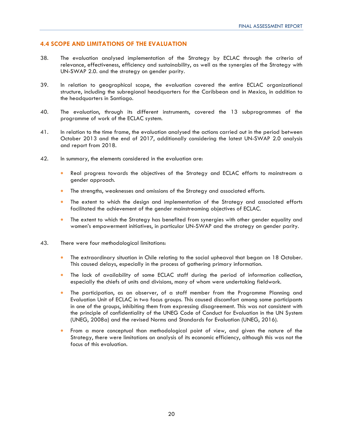### **4.4 SCOPE AND LIMITATIONS OF THE EVALUATION**

- 38. The evaluation analysed implementation of the Strategy by ECLAC through the criteria of relevance, effectiveness, efficiency and sustainability, as well as the synergies of the Strategy with UN-SWAP 2.0. and the strategy on gender parity.
- 39. In relation to geographical scope, the evaluation covered the entire ECLAC organizational structure, including the subregional headquarters for the Caribbean and in Mexico, in addition to the headquarters in Santiago.
- 40. The evaluation, through its different instruments, covered the 13 subprogrammes of the programme of work of the ECLAC system.
- 41. In relation to the time frame, the evaluation analysed the actions carried out in the period between October 2013 and the end of 2017, additionally considering the latest UN-SWAP 2.0 analysis and report from 2018.
- 42. In summary, the elements considered in the evaluation are:
	- Real progress towards the objectives of the Strategy and ECLAC efforts to mainstream a gender approach.
	- The strengths, weaknesses and omissions of the Strategy and associated efforts.
	- The extent to which the design and implementation of the Strategy and associated efforts facilitated the achievement of the gender mainstreaming objectives of ECLAC.
	- The extent to which the Strategy has benefited from synergies with other gender equality and women's empowerment initiatives, in particular UN-SWAP and the strategy on gender parity.
- 43. There were four methodological limitations:
	- The extraordinary situation in Chile relating to the social upheaval that began on 18 October. This caused delays, especially in the process of gathering primary information.
	- The lack of availability of some ECLAC staff during the period of information collection, especially the chiefs of units and divisions, many of whom were undertaking fieldwork.
	- The participation, as an observer, of a staff member from the Programme Planning and Evaluation Unit of ECLAC in two focus groups. This caused discomfort among some participants in one of the groups, inhibiting them from expressing disagreement. This was not consistent with the principle of confidentiality of the UNEG Code of Conduct for Evaluation in the UN System (UNEG, 2008a) and the revised Norms and Standards for Evaluation (UNEG, 2016).
	- From a more conceptual than methodological point of view, and given the nature of the Strategy, there were limitations on analysis of its economic efficiency, although this was not the focus of this evaluation.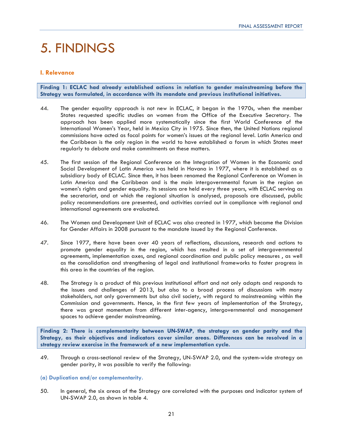## 5. FINDINGS

### **I. Relevance**

**Finding 1: ECLAC had already established actions in relation to gender mainstreaming before the Strategy was formulated, in accordance with its mandate and previous institutional initiatives.** 

- 44. The gender equality approach is not new in ECLAC, it began in the 1970s, when the member States requested specific studies on women from the Office of the Executive Secretary. The approach has been applied more systematically since the first World Conference of the International Women's Year, held in Mexico City in 1975. Since then, the United Nations regional commissions have acted as focal points for women's issues at the regional level. Latin America and the Caribbean is the only region in the world to have established a forum in which States meet regularly to debate and make commitments on these matters.
- 45. The first session of the Regional Conference on the Integration of Women in the Economic and Social Development of Latin America was held in Havana in 1977, where it is established as a subsidiary body of ECLAC. Since then, it has been renamed the Regional Conference on Women in Latin America and the Caribbean and is the main intergovernmental forum in the region on women's rights and gender equality. Its sessions are held every three years, with ECLAC serving as the secretariat, and at which the regional situation is analysed, proposals are discussed, public policy recommendations are presented, and activities carried out in compliance with regional and international agreements are evaluated.
- 46. The Women and Development Unit of ECLAC was also created in 1977, which became the Division for Gender Affairs in 2008 pursuant to the mandate issued by the Regional Conference.
- 47. Since 1977, there have been over 40 years of reflections, discussions, research and actions to promote gender equality in the region, which has resulted in a set of intergovernmental agreements, implementation axes, and regional coordination and public policy measures , as well as the consolidation and strengthening of legal and institutional frameworks to foster progress in this area in the countries of the region.
- 48. The Strategy is a product of this previous institutional effort and not only adapts and responds to the issues and challenges of 2013, but also to a broad process of discussions with many stakeholders, not only governments but also civil society, with regard to mainstreaming within the Commission and governments. Hence, in the first few years of implementation of the Strategy, there was great momentum from different inter-agency, intergovernmental and management spaces to achieve gender mainstreaming.

**Finding 2: There is complementarity between UN-SWAP, the strategy on gender parity and the Strategy, as their objectives and indicators cover similar areas. Differences can be resolved in a strategy review exercise in the framework of a new implementation cycle.** 

49. Through a cross-sectional review of the Strategy, UN-SWAP 2.0, and the system-wide strategy on gender parity, it was possible to verify the following:

### **(a) Duplication and/or complementarity.**

50. In general, the six areas of the Strategy are correlated with the purposes and indicator system of UN-SWAP 2.0, as shown in table 4.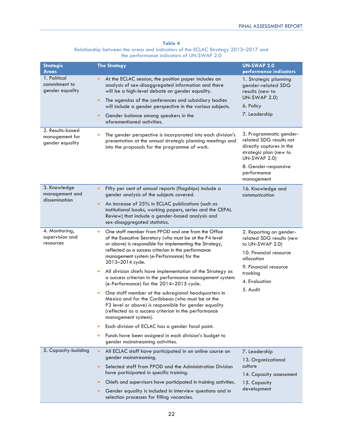### **Table 4**

Relationship between the areas and indicators of the ECLAC Strategy 2013–2017 and the performance indicators of UN-SWAP 2.0

| <b>Strategic</b>                                                 | <b>The Strategy</b>                                                                                                                                                                                                                                                                                                                                                                                                                                                                                                                                                                                                                                                                                                                                                                                                                                                                                                 | <b>UN-SWAP 2.0</b>                                                                                                                                                                   |
|------------------------------------------------------------------|---------------------------------------------------------------------------------------------------------------------------------------------------------------------------------------------------------------------------------------------------------------------------------------------------------------------------------------------------------------------------------------------------------------------------------------------------------------------------------------------------------------------------------------------------------------------------------------------------------------------------------------------------------------------------------------------------------------------------------------------------------------------------------------------------------------------------------------------------------------------------------------------------------------------|--------------------------------------------------------------------------------------------------------------------------------------------------------------------------------------|
| <b>Areas</b><br>1. Political<br>commitment to<br>gender equality | At the ECLAC session, the position paper includes an<br>$\bullet$<br>analysis of sex-disaggregated information and there<br>will be a high-level debate on gender equality.<br>The agendas of the conferences and subsidiary bodies<br>$\bullet$<br>will include a gender perspective in the various subjects.<br>Gender balance among speakers in the<br>$\bullet$<br>aforementioned activities.                                                                                                                                                                                                                                                                                                                                                                                                                                                                                                                   | performance indicators<br>1. Strategic planning<br>gender-related SDG<br>results (new to<br><b>UN-SWAP 2.0)</b><br>6. Policy<br>7. Leadership                                        |
| 2. Results-based<br>management for<br>gender equality            | The gender perspective is incorporated into each division's<br>$\bullet$<br>presentation at the annual strategic planning meetings and<br>into the proposals for the programme of work.                                                                                                                                                                                                                                                                                                                                                                                                                                                                                                                                                                                                                                                                                                                             | 3. Programmatic gender-<br>related SDG results not<br>directly captures in the<br>strategic plan (new to<br><b>UN-SWAP 2.0)</b><br>8. Gender-responsive<br>performance<br>management |
| 3. Knowledge<br>management and<br>dissemination                  | Fifty per cent of annual reports (flagships) include a<br>$\bullet$<br>gender analysis of the subjects covered.<br>An increase of 25% in ECLAC publications (such as<br>$\bullet$<br>institutional books, working papers, series and the CEPAL<br>Review) that include a gender-based analysis and<br>sex-disaggregated statistics.                                                                                                                                                                                                                                                                                                                                                                                                                                                                                                                                                                                 | 16. Knowledge and<br>communication                                                                                                                                                   |
| 4. Monitoring,<br>supervision and<br>resources                   | One staff member from PPOD and one from the Office<br>$\bullet$<br>of the Executive Secretary (who must be at the P4 level<br>or above) is responsible for implementing the Strategy,<br>reflected as a success criterion in the performance<br>management system (e-Performance) for the<br>2013-2014 cycle.<br>All division chiefs have implementation of the Strategy as<br>٠<br>a success criterion in the performance management system<br>(e-Performance) for the 2014-2015 cycle.<br>One staff member at the subregional headquarters in<br>٠<br>Mexico and for the Caribbean (who must be at the<br>P3 level or above) is responsible for gender equality<br>(reflected as a success criterion in the performance<br>management system).<br>Each division of ECLAC has a gender focal point.<br>٠<br>Funds have been assigned in each division's budget to<br>$\bullet$<br>gender mainstreaming activities. | 2. Reporting on gender-<br>related SDG results (new<br>to UN-SWAP 2.0)<br>10. Financial resource<br>allocation<br>9. Financial resource<br>tracking<br>4. Evaluation<br>5. Audit     |
| 5. Capacity-building                                             | All ECLAC staff have participated in an online course on<br>$\bullet$<br>gender mainstreaming.<br>Selected staff from PPOD and the Administration Division<br>$\bullet$<br>have participated in specific training.<br>Chiefs and supervisors have participated in training activities.<br>٠<br>Gender equality is included in interview questions and in<br>$\bullet$<br>selection processes for filling vacancies.                                                                                                                                                                                                                                                                                                                                                                                                                                                                                                 | 7. Leadership<br>13. Organizational<br>culture<br>14. Capacity assessment<br>15. Capacity<br>development                                                                             |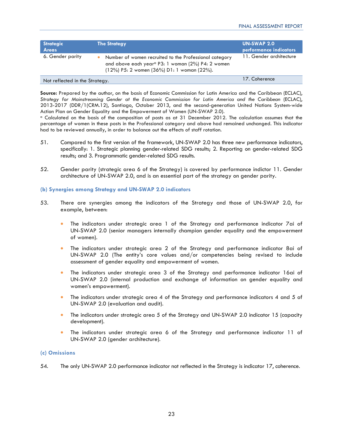| <b>Strategic</b><br><b>Areas</b> | <b>The Strategy</b>                                                                                                                                                            | UN-SWAP 2.0<br>performance indicators |
|----------------------------------|--------------------------------------------------------------------------------------------------------------------------------------------------------------------------------|---------------------------------------|
| 6. Gender parity                 | Number of women recruited to the Professional category<br>and above each year <sup>a</sup> P3: 1 woman (2%) P4: 2 women<br>$(12\%)$ P5: 2 women $(36\%)$ D1: 1 woman $(22\%).$ | 11. Gender architecture               |
| Not reflected in the Strategy.   |                                                                                                                                                                                | 17. Coherence                         |

**Source:** Prepared by the author, on the basis of Economic Commission for Latin America and the Caribbean (ECLAC), *Strategy for Mainstreaming Gender at the Economic Commission for Latin America and the Caribbean* (ECLAC), 2013-2017 (DDR/1(CRM.12), Santiago, October 2013, and the second-generation United Nations System-wide Action Plan on Gender Equality and the Empowerment of Women (UN-SWAP 2.0).

a Calculated on the basis of the composition of posts as at 31 December 2012. The calculation assumes that the percentage of women in these posts in the Professional category and above had remained unchanged. This indicator had to be reviewed annually, in order to balance out the effects of staff rotation.

- 51. Compared to the first version of the framework, UN-SWAP 2.0 has three new performance indicators, specifically: 1. Strategic planning gender-related SDG results; 2. Reporting on gender-related SDG results; and 3. Programmatic gender-related SDG results.
- 52. Gender parity (strategic area 6 of the Strategy) is covered by performance indictor 11. Gender architecture of UN-SWAP 2.0, and is an essential part of the strategy on gender parity.

### **(b) Synergies among Strategy and UN-SWAP 2.0 indicators**

- 53. There are synergies among the indicators of the Strategy and those of UN-SWAP 2.0, for example, between:
	- The indicators under strategic area 1 of the Strategy and performance indicator 7ai of UN-SWAP 2.0 (senior managers internally champion gender equality and the empowerment of women).
	- The indicators under strategic area 2 of the Strategy and performance indicator 8ai of UN-SWAP 2.0 (The entity's core values and/or competencies being revised to include assessment of gender equality and empowerment of women.
	- The indicators under strategic area 3 of the Strategy and performance indicator 16ai of UN-SWAP 2.0 (internal production and exchange of information on gender equality and women's empowerment).
	- The indicators under strategic area 4 of the Strategy and performance indicators 4 and 5 of UN-SWAP 2.0 (evaluation and audit).
	- The indicators under strategic area 5 of the Strategy and UN-SWAP 2.0 indicator 15 (capacity development).
	- The indicators under strategic area 6 of the Strategy and performance indicator 11 of UN-SWAP 2.0 (gender architecture).

### **(c) Omissions**

54. The only UN-SWAP 2.0 performance indicator not reflected in the Strategy is indicator 17, coherence.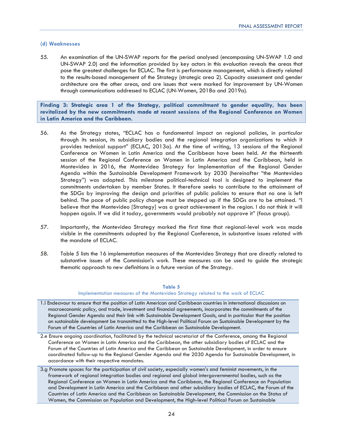### **(d) Weaknesses**

55. An examination of the UN-SWAP reports for the period analysed (encompassing UN-SWAP 1.0 and UN-SWAP 2.0) and the information provided by key actors in this evaluation reveals the areas that pose the greatest challenges for ECLAC. The first is performance management, which is directly related to the results-based management of the Strategy (strategic area 2). Capacity assessment and gender architecture are the other areas, and are issues that were marked for improvement by UN-Women through communications addressed to ECLAC (UN-Women, 2018a and 2019a).

**Finding 3: Strategic area 1 of the Strategy, political commitment to gender equality, has been revitalized by the new commitments made at recent sessions of the Regional Conference on Women in Latin America and the Caribbean.** 

- 56. As the Strategy states, "ECLAC has a fundamental impact on regional policies, in particular through its session, its subsidiary bodies and the regional integration organizations to which it provides technical support" (ECLAC, 2013a). At the time of writing, 13 sessions of the Regional Conference on Women in Latin America and the Caribbean have been held. At the thirteenth session of the Regional Conference on Women in Latin America and the Caribbean, held in Montevideo in 2016, the Montevideo Strategy for Implementation of the Regional Gender Agenda within the Sustainable Development Framework by 2030 (hereinafter "the Montevideo Strategy") was adopted. This milestone political-technical tool is designed to implement the commitments undertaken by member States. It therefore seeks to contribute to the attainment of the SDGs by improving the design and priorities of public policies to ensure that no one is left behind. The pace of public policy change must be stepped up if the SDGs are to be attained. "I believe that the Montevideo [Strategy] was a great achievement in the region. I do not think it will happen again. If we did it today, governments would probably not approve it" (focus group).
- 57. Importantly, the Montevideo Strategy marked the first time that regional-level work was made visible in the commitments adopted by the Regional Conference, in substantive issues related with the mandate of ECLAC.
- 58. Table 5 lists the 16 implementation measures of the Montevideo Strategy that are directly related to substantive issues of the Commission's work. These measures can be used to guide the strategic thematic approach to new definitions in a future version of the Strategy.

### **Table 5**

### Implementation measures of the Montevideo Strategy related to the work of ECLAC

- 1.l Endeavour to ensure that the position of Latin American and Caribbean countries in international discussions on macroeconomic policy, and trade, investment and financial agreements, incorporates the commitments of the Regional Gender Agenda and their link with Sustainable Development Goals, and in particular that the position on sustainable development be transmitted to the High-level Political Forum on Sustainable Development by the Forum of the Countries of Latin America and the Caribbean on Sustainable Development.
- 2.e Ensure ongoing coordination, facilitated by the technical secretariat of the Conference, among the Regional Conference on Women in Latin America and the Caribbean, the other subsidiary bodies of ECLAC and the Forum of the Countries of Latin America and the Caribbean on Sustainable Development, in order to ensure coordinated follow-up to the Regional Gender Agenda and the 2030 Agenda for Sustainable Development, in accordance with their respective mandates.
- 3.g Promote spaces for the participation of civil society, especially women's and feminist movements, in the framework of regional integration bodies and regional and global intergovernmental bodies, such as the Regional Conference on Women in Latin America and the Caribbean, the Regional Conference on Population and Development in Latin America and the Caribbean and other subsidiary bodies of ECLAC, the Forum of the Countries of Latin America and the Caribbean on Sustainable Development, the Commission on the Status of Women, the Commission on Population and Development, the High-level Political Forum on Sustainable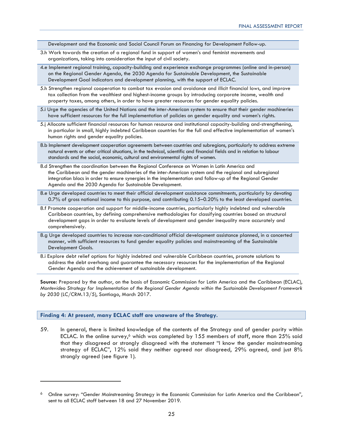Development and the Economic and Social Council Forum on Financing for Development Follow-up.

- 3.h Work towards the creation of a regional fund in support of women's and feminist movements and organizations, taking into consideration the input of civil society.
- 4.e Implement regional training, capacity-building and experience exchange programmes (online and in-person) on the Regional Gender Agenda, the 2030 Agenda for Sustainable Development, the Sustainable Development Goal indicators and development planning, with the support of ECLAC.
- 5.h Strengthen regional cooperation to combat tax evasion and avoidance and illicit financial lows, and improve tax collection from the wealthiest and highest-income groups by introducing corporate income, wealth and property taxes, among others, in order to have greater resources for gender equality policies.
- 5.i Urge the agencies of the United Nations and the inter-American system to ensure that their gender machineries have sufficient resources for the full implementation of policies on gender equality and women's rights.
- 5.j Allocate sufficient financial resources for human resource and institutional capacity-building and-strengthening, in particular in small, highly indebted Caribbean countries for the full and effective implementation of women's human rights and gender equality policies.
- 8.b Implement development cooperation agreements between countries and subregions, particularly to address extreme natural events or other critical situations, in the technical, scientific and financial fields and in relation to labour standards and the social, economic, cultural and environmental rights of women.
- 8.d Strengthen the coordination between the Regional Conference on Women in Latin America and the Caribbean and the gender machineries of the inter-American system and the regional and subregional integration blocs in order to ensure synergies in the implementation and follow-up of the Regional Gender Agenda and the 2030 Agenda for Sustainable Development.
- 8.e Urge developed countries to meet their official development assistance commitments, particularly by devoting 0.7% of gross national income to this purpose, and contributing 0.15–0.20% to the least developed countries.
- 8.f Promote cooperation and support for middle-income countries, particularly highly indebted and vulnerable Caribbean countries, by defining comprehensive methodologies for classifying countries based on structural development gaps in order to evaluate levels of development and gender inequality more accurately and comprehensively.
- 8.g Urge developed countries to increase non-conditional official development assistance planned, in a concerted manner, with sufficient resources to fund gender equality policies and mainstreaming of the Sustainable Development Goals.
- 8.i Explore debt relief options for highly indebted and vulnerable Caribbean countries, promote solutions to address the debt overhang and guarantee the necessary resources for the implementation of the Regional Gender Agenda and the achievement of sustainable development.

**Source:** Prepared by the author, on the basis of Economic Commission for Latin America and the Caribbean (ECLAC), *Montevideo Strategy for Implementation of the Regional Gender Agenda within the Sustainable Development Framework by 2030* (LC/CRM.13/5), Santiago, March 2017.

### **Finding 4: At present, many ECLAC staff are unaware of the Strategy.**

59. In general, there is limited knowledge of the contents of the Strategy and of gender parity within ECLAC. In the online survey,<sup>6</sup> which was completed by 155 members of staff, more than 25% said that they disagreed or strongly disagreed with the statement "I know the gender mainstreaming strategy of ECLAC", 12% said they neither agreed nor disagreed, 29% agreed, and just 8% strongly agreed (see figure 1).

<sup>6</sup> Online survey: "Gender Mainstreaming Strategy in the Economic Commission for Latin America and the Caribbean", sent to all ECLAC staff between 18 and 27 November 2019.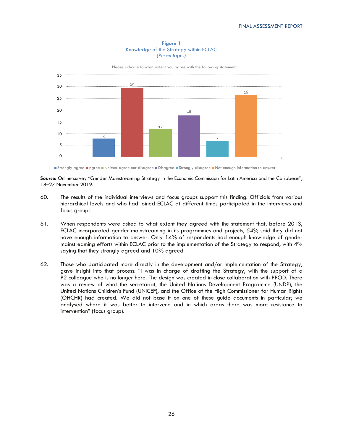



Please indicate to what extent you agree with the following statement

Strongly agree Agree Neither agree nor disagree Disagree Strongly disagree Not enough information to answer

**Source:** Online survey "Gender Mainstreaming Strategy in the Economic Commission for Latin America and the Caribbean", 18–27 November 2019.

- 60. The results of the individual interviews and focus groups support this finding. Officials from various hierarchical levels and who had joined ECLAC at different times participated in the interviews and focus groups.
- 61. When respondents were asked to what extent they agreed with the statement that, before 2013, ECLAC incorporated gender mainstreaming in its programmes and projects, 54% said they did not have enough information to answer. Only 14% of respondents had enough knowledge of gender mainstreaming efforts within ECLAC prior to the implementation of the Strategy to respond, with 4% saying that they strongly agreed and 10% agreed.
- 62. Those who participated more directly in the development and/or implementation of the Strategy, gave insight into that process: "I was in charge of drafting the Strategy, with the support of a P2 colleague who is no longer here. The design was created in close collaboration with PPOD. There was a review of what the secretariat, the United Nations Development Programme (UNDP), the United Nations Children's Fund (UNICEF), and the Office of the High Commissioner for Human Rights (OHCHR) had created. We did not base it on one of these guide documents in particular; we analysed where it was better to intervene and in which areas there was more resistance to intervention" (focus group).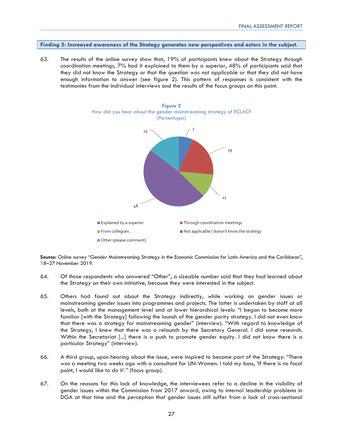**Finding 5: Increased awareness of the Strategy generates new perspectives and actors in the subject.** 

63. The results of the online survey show that, 19% of participants knew about the Strategy through coordination meetings, 7% had it explained to them by a superior, 48% of participants said that they did not know the Strategy or that the question was not applicable or that they did not have enough information to answer (see figure 2). This pattern of responses is consistent with the testimonies from the individual interviews and the results of the focus groups on this point.



**Source:** Online survey "Gender Mainstreaming Strategy in the Economic Commission for Latin America and the Caribbean", 18–27 November 2019.

- 64. Of those respondents who answered "Other", a sizeable number said that they had learned about the Strategy on their own initiative, because they were interested in the subject.
- 65. Others had found out about the Strategy indirectly, while working on gender issues or mainstreaming gender issues into programmes and projects. The latter is undertaken by staff at all levels, both at the management level and at lower hierarchical levels: "I began to become more familiar [with the Strategy] following the launch of the gender parity strategy. I did not even know that there was a strategy for mainstreaming gender" (interview). "With regard to knowledge of the Strategy, I knew that there was a relaunch by the Secretary General. I did some research. Within the Secretariat [...] there is a push to promote gender equity. I did not know there is a particular Strategy" (interview).
- 66. A third group, upon hearing about the issue, were inspired to become part of the Strategy: "There was a meeting two weeks ago with a consultant for UN-Women. I told my boss, 'If there is no focal point, I would like to do it'." (focus group).
- 67. On the reasons for this lack of knowledge, the interviewees refer to a decline in the visibility of gender issues within the Commission from 2017 onward, owing to internal leadership problems in DGA at that time and the perception that gender issues still suffer from a lack of cross-sectional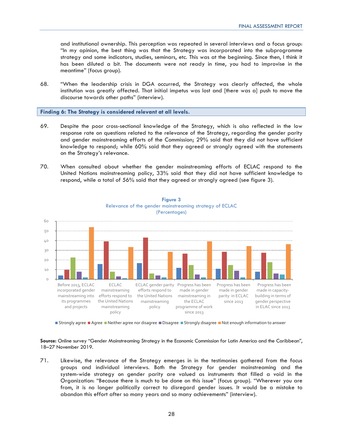and institutional ownership. This perception was repeated in several interviews and a focus group: "In my opinion, the best thing was that the Strategy was incorporated into the subprogramme strategy and some indicators, studies, seminars, etc. This was at the beginning. Since then, I think it has been diluted a bit. The documents were not ready in time, you had to improvise in the meantime" (focus group).

68. "When the leadership crisis in DGA occurred, the Strategy was clearly affected, the whole institution was greatly affected. That initial impetus was lost and [there was a] push to move the discourse towards other paths" (interview).

**Finding 6: The Strategy is considered relevant at all levels.** 

- 69. Despite the poor cross-sectional knowledge of the Strategy, which is also reflected in the low response rate on questions related to the relevance of the Strategy, regarding the gender parity and gender mainstreaming efforts of the Commission; 29% said that they did not have sufficient knowledge to respond; while 60% said that they agreed or strongly agreed with the statements on the Strategy's relevance.
- 70. When consulted about whether the gender mainstreaming efforts of ECLAC respond to the United Nations mainstreaming policy, 33% said that they did not have sufficient knowledge to respond, while a total of 56% said that they agreed or strongly agreed (see figure 3).



**Figure 3**  Relevance of the gender mainstreaming strategy of ECLAC

Strongly agree Agree Aleither agree nor disagree Disagree Strongly disagree Not enough information to answer

**Source:** Online survey "Gender Mainstreaming Strategy in the Economic Commission for Latin America and the Caribbean", 18–27 November 2019.

71. Likewise, the relevance of the Strategy emerges in in the testimonies gathered from the focus groups and individual interviews. Both the Strategy for gender mainstreaming and the system-wide strategy on gender parity are valued as instruments that filled a void in the Organization: "Because there is much to be done on this issue" (focus group). "Wherever you are from, it is no longer politically correct to disregard gender issues. It would be a mistake to abandon this effort after so many years and so many achievements" (interview).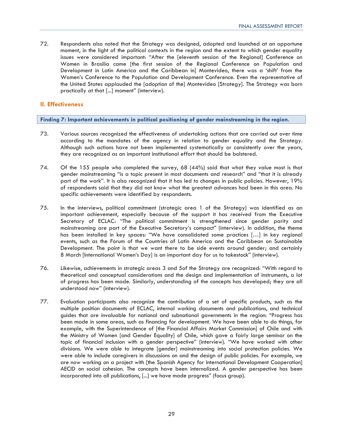72. Respondents also noted that the Strategy was designed, adopted and launched at an opportune moment, in the light of the political contexts in the region and the extent to which gender equality issues were considered important: "After the [eleventh session of the Regional] Conference on Women in Brasilia came [the first session of the Regional Conference on Population and Development in Latin America and the Caribbean in] Montevideo, there was a 'shift' from the Women's Conference to the Population and Development Conference. Even the representative of the United States applauded the [adoption of the] Montevideo [Strategy]. The Strategy was born practically at that [...] moment" (interview).

### **II. Effectiveness**

**Finding 7: Important achievements in political positioning of gender mainstreaming in the region.** 

- 73. Various sources recognized the effectiveness of undertaking actions that are carried out over time according to the mandates of the agency in relation to gender equality and the Strategy. Although such actions have not been implemented systematically or consistently over the years, they are recognized as an important institutional effort that should be bolstered.
- 74. Of the 155 people who completed the survey, 68 (44%) said that what they value most is that gender mainstreaming "is a topic present in most documents and research" and "that it is already part of the work". It is also recognized that it has led to changes in public policies. However, 19% of respondents said that they did not know what the greatest advances had been in this area. No specific achievements were identified by respondents.
- 75. In the interviews, political commitment (strategic area 1 of the Strategy) was identified as an important achievement, especially because of the support it has received from the Executive Secretary of ECLAC: "The political commitment is strengthened since gender parity and mainstreaming are part of the Executive Secretary's compact" (interview). In addition, the theme has been installed in key spaces: "We have consolidated some practices […] in key regional events, such as the Forum of the Countries of Latin America and the Caribbean on Sustainable Development. The point is that we want there to be side events around gender; and certainly 8 March [International Women's Day] is an important day for us to takestock" (interview).
- 76. Likewise, achievements in strategic areas 3 and 5of the Strategy are recognized: "With regard to theoretical and conceptual considerations and the design and implementation of instruments, a lot of progress has been made. Similarly, understanding of the concepts has developed; they are all understood now" (interview).
- 77. Evaluation participants also recognize the contribution of a set of specific products, such as the multiple position documents of ECLAC, internal working documents and publications, and technical guides that are invaluable for national and subnational governments in the region: "Progress has been made in some areas, such as financing for development. We have been able to do things, for example, with the Superintendence of [the Financial Affairs Market Commission] of Chile and with the Ministry of Women [and Gender Equality] of Chile, which gave a fairly large seminar on the topic of financial inclusion with a gender perspective" (interview). "We have worked with other divisions. We were able to integrate [gender] mainstreaming into social protection policies. We were able to include caregivers in discussions on and the design of public policies. For example, we are now working on a project with [the Spanish Agency for International Development Cooperation] AECID on social cohesion. The concepts have been internalized. A gender perspective has been incorporated into all publications, [...] we have made progress" (focus group).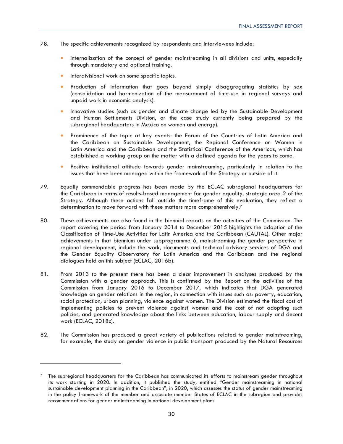- 78. The specific achievements recognized by respondents and interviewees include:
	- Internalization of the concept of gender mainstreaming in all divisions and units, especially through mandatory and optional training.
	- Interdivisional work on some specific topics.
	- Production of information that goes beyond simply disaggregating statistics by sex (consolidation and harmonization of the measurement of time-use in regional surveys and unpaid work in economic analysis).
	- Innovative studies (such as gender and climate change led by the Sustainable Development and Human Settlements Division, or the case study currently being prepared by the subregional headquarters in Mexico on women and energy).
	- Prominence of the topic at key events: the Forum of the Countries of Latin America and the Caribbean on Sustainable Development, the Regional Conference on Women in Latin America and the Caribbean and the Statistical Conference of the Americas, which has established a working group on the matter with a defined agenda for the years to come.
	- Positive institutional attitude towards gender mainstreaming, particularly in relation to the issues that have been managed within the framework of the Strategy or outside of it.
- 79. Equally commendable progress has been made by the ECLAC subregional headquarters for the Caribbean in terms of results-based management for gender equality, strategic area 2 of the Strategy. Although these actions fall outside the timeframe of this evaluation, they reflect a determination to move forward with these matters more comprehensively.7
- 80. These achievements are also found in the biennial reports on the activities of the Commission. The report covering the period from January 2014 to December 2015 highlights the adoption of the Classification of Time-Use Activities for Latin America and the Caribbean (CAUTAL). Other major achievements in that biennium under subprogramme 6, mainstreaming the gender perspective in regional development, include the work, documents and technical advisory services of DGA and the Gender Equality Observatory for Latin America and the Caribbean and the regional dialogues held on this subject (ECLAC, 2016b).
- 81. From 2013 to the present there has been a clear improvement in analyses produced by the Commission with a gender approach. This is confirmed by the Report on the activities of the Commission from January 2016 to December 2017, which indicates that DGA generated knowledge on gender relations in the region, in connection with issues such as: poverty, education, social protection, urban planning, violence against women. The Division estimated the fiscal cost of implementing policies to prevent violence against women and the cost of not adopting such policies, and generated knowledge about the links between education, labour supply and decent work (ECLAC, 2018c).
- 82. The Commission has produced a great variety of publications related to gender mainstreaming, for example, the study on gender violence in public transport produced by the Natural Resources

<sup>7</sup> The subregional headquarters for the Caribbean has communicated its efforts to mainstream gender throughout its work starting in 2020. In addition, it published the study, entitled "Gender mainstreaming in national sustainable development planning in the Caribbean", in 2020, which assesses the status of gender mainstreaming in the policy framework of the member and associate member States of ECLAC in the subregion and provides recommendations for gender mainstreaming in national development plans.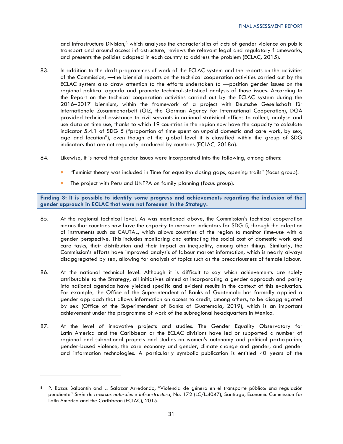and Infrastructure Division,<sup>8</sup> which analyses the characteristics of acts of gender violence on public transport and around access infrastructure, reviews the relevant legal and regulatory frameworks, and presents the policies adopted in each country to address the problem (ECLAC, 2015).

- 83. In addition to the draft programmes of work of the ECLAC system and the reports on the activities of the Commission, —the biennial reports on the technical cooperation activities carried out by the ECLAC system also draw attention to the efforts undertaken to —position gender issues on the regional political agenda and promote technical-statistical analysis of those issues. According to the Report on the technical cooperation activities carried out by the ECLAC system during the 2016–2017 biennium, within the framework of a project with Deutsche Gesellschaft fûr Internationale Zusammenarbeit (GIZ, the German Agency for International Cooperation), DGA provided technical assistance to civil servants in national statistical offices to collect, analyse and use data on time use, thanks to which 19 countries in the region now have the capacity to calculate indicator 5.4.1 of SDG 5 ("proportion of time spent on unpaid domestic and care work, by sex, age and location"), even though at the global level it is classified within the group of SDG indicators that are not regularly produced by countries (ECLAC, 2018a).
- 84. Likewise, it is noted that gender issues were incorporated into the following, among others:
	- "Feminist theory was included in Time for equality: closing gaps, opening trails" (focus group).
	- The project with Peru and UNFPA on family planning (focus group).

**Finding 8: It is possible to identify some progress and achievements regarding the inclusion of the gender approach in ECLAC that were not foreseen in the Strategy.** 

- 85. At the regional technical level. As was mentioned above, the Commission's technical cooperation means that countries now have the capacity to measure indicators for SDG 5, through the adoption of instruments such as CAUTAL, which allows countries of the region to monitor time-use with a gender perspective. This includes monitoring and estimating the social cost of domestic work and care tasks, their distribution and their impact on inequality, among other things. Similarly, the Commission's efforts have improved analysis of labour market information, which is nearly always disaggregated by sex, allowing for analysis of topics such as the precariousness of female labour.
- 86. At the national technical level. Although it is difficult to say which achievements are solely attributable to the Strategy, all initiatives aimed at incorporating a gender approach and parity into national agendas have yielded specific and evident results in the context of this evaluation. For example, the Office of the Superintendent of Banks of Guatemala has formally applied a gender approach that allows information on access to credit, among others, to be disaggregated by sex (Office of the Superintendent of Banks of Guatemala, 2019), which is an important achievement under the programme of work of the subregional headquarters in Mexico.
- 87. At the level of innovative projects and studies. The Gender Equality Observatory for Latin America and the Caribbean or the ECLAC divisions have led or supported a number of regional and subnational projects and studies on women's autonomy and political participation, gender-based violence, the care economy and gender, climate change and gender, and gender and information technologies. A particularly symbolic publication is entitled 40 years of the

<sup>8</sup> P. Rozas Balbontín and L. Salazar Arredondo, "Violencia de género en el transporte público: una regulación pendiente" *Serie de recursos naturales e infraestructura*, No. 172 (LC/L.4047), Santiago, Economic Commission for Latin America and the Caribbean (ECLAC), 2015.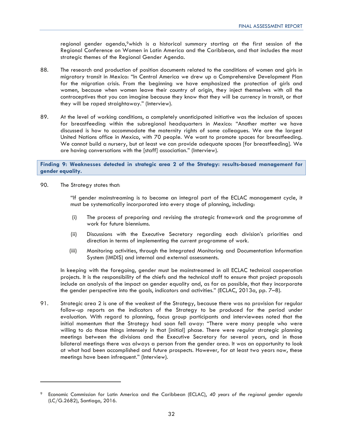regional gender agenda,<sup>9</sup>which is a historical summary starting at the first session of the Regional Conference on Women in Latin America and the Caribbean, and that includes the most strategic themes of the Regional Gender Agenda.

- 88. The research and production of position documents related to the conditions of women and girls in migratory transit in Mexico: "In Central America we drew up a Comprehensive Development Plan for the migration crisis. From the beginning we have emphasized the protection of girls and women, because when women leave their country of origin, they inject themselves with all the contraceptives that you can imagine because they know that they will be currency in transit, or that they will be raped straightaway." (Interview).
- 89. At the level of working conditions, a completely unanticipated initiative was the inclusion of spaces for breastfeeding within the subregional headquarters in Mexico: "Another matter we have discussed is how to accommodate the maternity rights of some colleagues. We are the largest United Nations office in Mexico, with 70 people. We want to promote spaces for breastfeeding. We cannot build a nursery, but at least we can provide adequate spaces [for breastfeeding]. We are having conversations with the [staff] association." (Interview).

**Finding 9: Weaknesses detected in strategic area 2 of the Strategy: results-based management for gender equality.** 

90. The Strategy states that:

"If gender mainstreaming is to become an integral part of the ECLAC management cycle, it must be systematically incorporated into every stage of planning, including:

- (i) The process of preparing and revising the strategic framework and the programme of work for future bienniums.
- (ii) Discussions with the Executive Secretary regarding each division's priorities and direction in terms of implementing the current programme of work.
- (iii) Monitoring activities, through the Integrated Monitoring and Documentation Information System (IMDIS) and internal and external assessments.

In keeping with the foregoing, gender must be mainstreamed in all ECLAC technical cooperation projects. It is the responsibility of the chiefs and the technical staff to ensure that project proposals include an analysis of the impact on gender equality and, as far as possible, that they incorporate the gender perspective into the goals, indicators and activities." (ECLAC, 2013a, pp. 7-8).

91. Strategic area 2 is one of the weakest of the Strategy, because there was no provision for regular follow-up reports on the indicators of the Strategy to be produced for the period under evaluation. With regard to planning, focus group participants and interviewees noted that the initial momentum that the Strategy had soon fell away: "There were many people who were willing to do those things intensely in that [initial] phase. There were regular strategic planning meetings between the divisions and the Executive Secretary for several years, and in those bilateral meetings there was always a person from the gender area. It was an opportunity to look at what had been accomplished and future prospects. However, for at least two years now, these meetings have been infrequent." (Interview).

<sup>9</sup> Economic Commission for Latin America and the Caribbean (ECLAC), *40 years of the regional gender agenda*  (LC/G.2682), Santiago, 2016.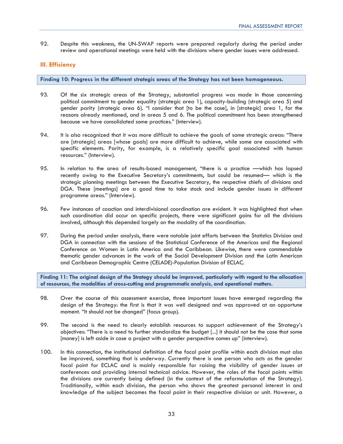92. Despite this weakness, the UN-SWAP reports were prepared regularly during the period under review and operational meetings were held with the divisions where gender issues were addressed.

### **III. Efficiency**

**Finding 10: Progress in the different strategic areas of the Strategy has not been homogeneous.** 

- 93. Of the six strategic areas of the Strategy, substantial progress was made in those concerning political commitment to gender equality (strategic area 1), capacity-building (strategic area 5) and gender parity (strategic area 6). "I consider that [to be the case], in [strategic] area 1, for the reasons already mentioned, and in areas 5 and 6. The political commitment has been strengthened because we have consolidated some practices." (Interview).
- 94. It is also recognized that it was more difficult to achieve the goals of some strategic areas: "There are [strategic] areas [whose goals] are more difficult to achieve, while some are associated with specific elements. Parity, for example, is a relatively specific goal associated with human resources." (Interview).
- 95. In relation to the area of results-based management, "there is a practice —which has lapsed recently owing to the Executive Secretary's commitments, but could be resumed— which is the strategic planning meetings between the Executive Secretary, the respective chiefs of divisions and DGA. These [meetings] are a good time to take stock and include gender issues in different programme areas." (Interview).
- 96. Few instances of coaction and interdivisional coordination are evident. It was highlighted that when such coordination did occur on specific projects, there were significant gains for all the divisions involved, although this depended largely on the modality of the coordination.
- 97. During the period under analysis, there were notable joint efforts between the Statistics Division and DGA in connection with the sessions of the Statistical Conference of the Americas and the Regional Conference on Women in Latin America and the Caribbean. Likewise, there were commendable thematic gender advances in the work of the Social Development Division and the Latin American and Caribbean Demographic Centre (CELADE)-Population Division of ECLAC.

**Finding 11: The original design of the Strategy should be improved, particularly with regard to the allocation of resources, the modalities of cross-cutting and programmatic analysis, and operational matters.** 

- 98. Over the course of this assessment exercise, three important issues have emerged regarding the design of the Strategy: the first is that it was well designed and was approved at an opportune moment. "It should not be changed" (focus group).
- 99. The second is the need to clearly establish resources to support achievement of the Strategy's objectives: "There is a need to further standardize the budget [...] it should not be the case that some [money] is left aside in case a project with a gender perspective comes up" (interview).
- 100. In this connection, the institutional definition of the focal point profile within each division must also be improved, something that is underway. Currently there is one person who acts as the gender focal point for ECLAC and is mainly responsible for raising the visibility of gender issues at conferences and providing internal technical advice. However, the roles of the focal points within the divisions are currently being defined (in the context of the reformulation of the Strategy). Traditionally, within each division, the person who shows the greatest personal interest in and knowledge of the subject becomes the focal point in their respective division or unit. However, a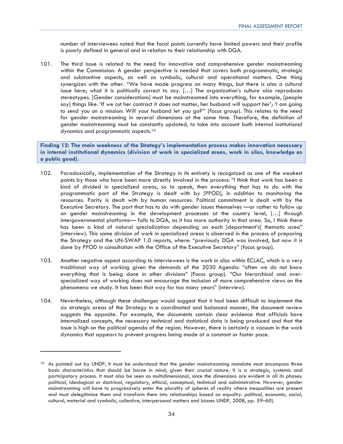number of interviewees noted that the focal points currently have limited powers and their profile is poorly defined in general and in relation to their relationship with DGA.

101. The third issue is related to the need for innovative and comprehensive gender mainstreaming within the Commission. A gender perspective is needed that covers both programmatic, strategic and substantive aspects, as well as symbolic, cultural and operational matters. One thing synergizes with the other. "We have made progress on many things, but there is also a cultural issue here; what it is politically correct to say. […] The organization's culture also reproduces stereotypes. [Gender considerations] must be mainstreamed into everything, for example, [people say] things like: 'If we cut her contract it does not matter, her husband will support her'; 'I am going to send you on a mission: Will your husband let you go?'" (focus group). This relates to the need for gender mainstreaming in several dimensions at the same time. Therefore, the definition of gender mainstreaming must be constantly updated, to take into account both internal institutional dynamics and programmatic aspects.10

**Finding 12: The main weakness of the Strategy's implementation process makes innovation necessary in internal institutional dynamics (division of work in specialized areas, work in silos, knowledge as a public good).** 

- 102. Paradoxically, implementation of the Strategy in its entirety is recognized as one of the weakest points by those who have been more directly involved in the process: "I think that work has been a kind of divided in specialized areas, so to speak, then everything that has to do with the programmatic part of the Strategy is dealt with by [PPOD], in addition to monitoring the resources. Parity is dealt with by human resources. Political commitment is dealt with by the Executive Secretary. The part that has to do with gender issues themselves —or rather to follow up on gender mainstreaming in the development processes at the country level, […] through intergovernmental platforms— falls to DGA, as it has more authority in that area. So, I think there has been a kind of natural specialization depending on each [department's] thematic area" (interview). This same division of work in specialized areas is observed in the process of preparing the Strategy and the UN-SWAP 1.0 reports, where: "previously DGA was involved, but now it is done by PPOD in consultation with the Office of the Executive Secretary" (focus group).
- 103. Another negative aspect according to interviewees is the work in silos within ECLAC, which is a very traditional way of working given the demands of the 2030 Agenda: "often we do not know everything that is being done in other divisions" (Focus group). "Our hierarchical and overspecialized way of working does not encourage the inclusion of more comprehensive views on the phenomena we study. It has been that way for too many years" (interview).
- 104. Nevertheless, although these challenges would suggest that it had been difficult to implement the six strategic areas of the Strategy in a coordinated and balanced manner, the document review suggests the opposite. For example, the documents contain clear evidence that officials have internalized concepts, the necessary technical and statistical data is being produced and that the issue is high on the political agenda of the region. However, there is certainly a vacuum in the work dynamics that appears to prevent progress being made at a constant or faster pace.

<sup>&</sup>lt;sup>10</sup> As pointed out by UNDP, it must be understood that the gender mainstreaming mandate must encompass three basic characteristics that should be borne in mind, given their crucial nature. It is a strategic, systemic and participatory process. It must also be seen as multidimensional, since the dimensions are evident in all its phases: political, ideological or doctrinal, regulatory, ethical, conceptual, technical and administrative. However, gender mainstreaming will have to progressively enter the plurality of spheres of reality where inequalities are present and must delegitimize them and transform them into relationships based on equality: political, economic, social, cultural, material and symbolic, collective, interpersonal matters and biases UNDP, 2008, pp. 59–60).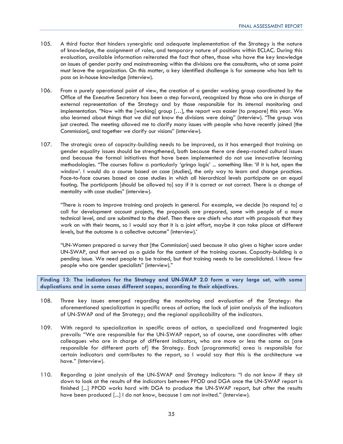- 105. A third factor that hinders synergistic and adequate implementation of the Strategy is the nature of knowledge, the assignment of roles, and temporary nature of positions within ECLAC. During this evaluation, available information reiterated the fact that often, those who have the key knowledge on issues of gender parity and mainstreaming within the divisions are the consultants, who at some point must leave the organization. On this matter, a key identified challenge is for someone who has left to pass on in-house knowledge (interview).
- 106. From a purely operational point of view, the creation of a gender working group coordinated by the Office of the Executive Secretary has been a step forward, recognized by those who are in charge of external representation of the Strategy and by those responsible for its internal monitoring and implementation. "Now with the [working] group […], the report was easier [to prepare] this year. We also learned about things that we did not know the divisions were doing" (interview). "The group was just created. The meeting allowed me to clarify many issues with people who have recently joined [the Commission], and together we clarify our visions" (interview).
- 107. The strategic area of capacity-building needs to be improved, as it has emerged that training on gender equality issues should be strengthened, both because there are deep-rooted cultural issues and because the formal initiatives that have been implemented do not use innovative learning methodologies. "The courses follow a particularly 'gringo logic' ... something like: 'if it is hot, open the window'. I would do a course based on case [studies], the only way to learn and change practices. Face-to-face courses based on case studies in which all hierarchical levels participate on an equal footing. The participants [should be allowed to] say if it is correct or not correct. There is a change of mentality with case studies" (interview).

"There is room to improve training and projects in general. For example, we decide [to respond to] a call for development account projects, the proposals are prepared, some with people of a more technical level, and are submitted to the chief. Then there are chiefs who start with proposals that they work on with their teams, so I would say that it is a joint effort, maybe it can take place at different levels, but the outcome is a collective outcome" (interview).'

"UN-Women prepared a survey that [the Commission] used because it also gives a higher score under UN-SWAP, and that served as a guide for the content of the training courses. Capacity-building is a pending issue. We need people to be trained, but that training needs to be consolidated. I know few people who are gender specialists" (interview)."

**Finding 13: The indicators for the Strategy and UN-SWAP 2.0 form a very large set, with some duplications and in some cases different scopes, according to their objectives.** 

- 108. Three key issues emerged regarding the monitoring and evaluation of the Strategy: the aforementioned specialization in specific areas of action; the lack of joint analysis of the indicators of UN-SWAP and of the Strategy; and the regional applicability of the indicators.
- 109. With regard to specialization in specific areas of action, a specialized and fragmented logic prevails: "We are responsible for the UN-SWAP report, so of course, one coordinates with other colleagues who are in charge of different indicators, who are more or less the same as [are responsible for different parts of] the Strategy. Each [programmatic] area is responsible for certain indicators and contributes to the report, so I would say that this is the architecture we have." (Interview).
- 110. Regarding a joint analysis of the UN-SWAP and Strategy indicators: "I do not know if they sit down to look at the results of the indicators between PPOD and DGA once the UN-SWAP report is finished [...] PPOD works hard with DGA to produce the UN-SWAP report, but after the results have been produced [...] I do not know, because I am not invited." (Interview).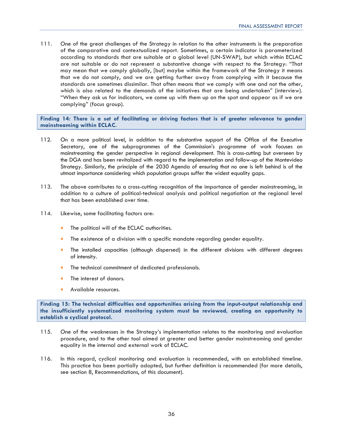111. One of the great challenges of the Strategy in relation to the other instruments is the preparation of the comparative and contextualized report. Sometimes, a certain indicator is parameterized according to standards that are suitable at a global level (UN-SWAP), but which within ECLAC are not suitable or do not represent a substantive change with respect to the Strategy: "That may mean that we comply globally, [but] maybe within the framework of the Strategy it means that we do not comply, and we are getting further away from complying with it because the standards are sometimes dissimilar. That often means that we comply with one and not the other, which is also related to the demands of the initiatives that are being undertaken" (interview). "When they ask us for indicators, we come up with them up on the spot and appear as if we are complying" (focus group).

**Finding 14: There is a set of facilitating or driving factors that is of greater relevance to gender mainstreaming within ECLAC.** 

- 112. On a more political level, in addition to the substantive support of the Office of the Executive Secretary, one of the subprogrammes of the Commission's programme of work focuses on mainstreaming the gender perspective in regional development. This is cross-cutting but overseen by the DGA and has been revitalized with regard to the implementation and follow-up of the Montevideo Strategy. Similarly, the principle of the 2030 Agenda of ensuring that no one is left behind is of the utmost importance considering which population groups suffer the widest equality gaps.
- 113. The above contributes to a cross-cutting recognition of the importance of gender mainstreaming, in addition to a culture of political-technical analysis and political negotiation at the regional level that has been established over time.
- 114. Likewise, some facilitating factors are:
	- The political will of the ECLAC authorities.
	- The existence of a division with a specific mandate regarding gender equality.
	- The installed capacities (although dispersed) in the different divisions with different degrees of intensity.
	- The technical commitment of dedicated professionals.
	- The interest of donors.
	- Available resources.

**Finding 15: The technical difficulties and opportunities arising from the input-output relationship and the insufficiently systematized monitoring system must be reviewed, creating an opportunity to establish a cyclical protocol.** 

- 115. One of the weaknesses in the Strategy's implementation relates to the monitoring and evaluation procedure, and to the other tool aimed at greater and better gender mainstreaming and gender equality in the internal and external work of ECLAC.
- 116. In this regard, cyclical monitoring and evaluation is recommended, with an established timeline. This practice has been partially adopted, but further definition is recommended (for more details, see section 8, Recommendations, of this document).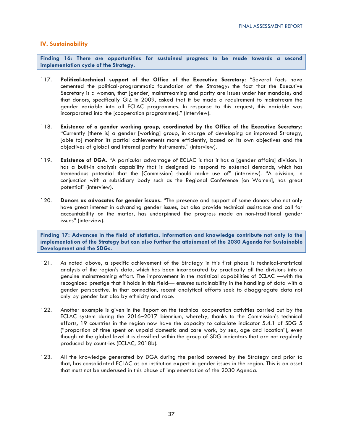### **IV. Sustainability**

**Finding 16: There are opportunities for sustained progress to be made towards a second implementation cycle of the Strategy.** 

- 117. **Political-technical support of the Office of the Executive Secretary**: "Several facts have cemented the political-programmatic foundation of the Strategy: the fact that the Executive Secretary is a woman; that [gender] mainstreaming and parity are issues under her mandate; and that donors, specifically GIZ in 2009, asked that it be made a requirement to mainstream the gender variable into all ECLAC programmes. In response to this request, this variable was incorporated into the [cooperation programmes]." (Interview).
- 118. **Existence of a gender working group, coordinated by the Office of the Executive Secretar**y: "Currently [there is] a gender [working] group, in charge of developing an improved Strategy, [able to] monitor its partial achievements more efficiently, based on its own objectives and the objectives of global and internal parity instruments." (Interview).
- 119. **Existence of DGA.** "A particular advantage of ECLAC is that it has a [gender affairs] division. It has a built-in analysis capability that is designed to respond to external demands, which has tremendous potential that the [Commission] should make use of" (interview). "A division, in conjunction with a subsidiary body such as the Regional Conference [on Women], has great potential" (interview).
- 120. **Donors as advocates for gender issues.** "The presence and support of some donors who not only have great interest in advancing gender issues, but also provide technical assistance and call for accountability on the matter, has underpinned the progress made on non-traditional gender issues" (interview).

**Finding 17: Advances in the field of statistics, information and knowledge contribute not only to the implementation of the Strategy but can also further the attainment of the 2030 Agenda for Sustainable Development and the SDGs.** 

- 121. As noted above, a specific achievement of the Strategy in this first phase is technical-statistical analysis of the region's data, which has been incorporated by practically all the divisions into a genuine mainstreaming effort. The improvement in the statistical capabilities of ECLAC —with the recognized prestige that it holds in this field— ensures sustainability in the handling of data with a gender perspective. In that connection, recent analytical efforts seek to disaggregate data not only by gender but also by ethnicity and race.
- 122. Another example is given in the Report on the technical cooperation activities carried out by the ECLAC system during the 2016–2017 biennium, whereby, thanks to the Commission's technical efforts, 19 countries in the region now have the capacity to calculate indicator 5.4.1 of SDG 5 ("proportion of time spent on unpaid domestic and care work, by sex, age and location"), even though at the global level it is classified within the group of SDG indicators that are not regularly produced by countries (ECLAC, 2018b).
- 123. All the knowledge generated by DGA during the period covered by the Strategy and prior to that, has consolidated ECLAC as an institution expert in gender issues in the region. This is an asset that must not be underused in this phase of implementation of the 2030 Agenda.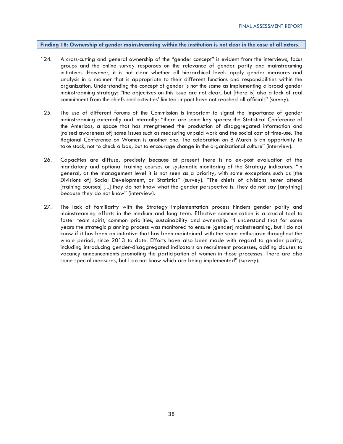### **Finding 18: Ownership of gender mainstreaming within the institution is not clear in the case of all actors.**

- 124. A cross-cutting and general ownership of the "gender concept" is evident from the interviews, focus groups and the online survey responses on the relevance of gender parity and mainstreaming initiatives. However, it is not clear whether all hierarchical levels apply gender measures and analysis in a manner that is appropriate to their different functions and responsibilities within the organization. Understanding the concept of gender is not the same as implementing a broad gender mainstreaming strategy: "the objectives on this issue are not clear, but [there is] also a lack of real commitment from the chiefs and activities' limited impact have not reached all officials" (survey).
- 125. The use of different forums of the Commission is important to signal the importance of gender mainstreaming externally and internally: "there are some key spaces: the Statistical Conference of the Americas, a space that has strengthened the production of disaggregated information and [raised awareness of] some issues such as measuring unpaid work and the social cost of time-use. The Regional Conference on Women is another one. The celebration on 8 March is an opportunity to take stock, not to check a box, but to encourage change in the organizational culture" (interview).
- 126. Capacities are diffuse, precisely because at present there is no ex-post evaluation of the mandatory and optional training courses or systematic monitoring of the Strategy indicators. "In general, at the management level it is not seen as a priority, with some exceptions such as [the Divisions of] Social Development, or Statistics" (survey). "The chiefs of divisions never attend [training courses] [...] they do not know what the gender perspective is. They do not say [anything] because they do not know" (interview).
- 127. The lack of familiarity with the Strategy implementation process hinders gender parity and mainstreaming efforts in the medium and long term. Effective communication is a crucial tool to foster team spirit, common priorities, sustainability and ownership. "I understand that for some years the strategic planning process was monitored to ensure [gender] mainstreaming, but I do not know if it has been an initiative that has been maintained with the same enthusiasm throughout the whole period, since 2013 to date. Efforts have also been made with regard to gender parity, including introducing gender-disaggregated indicators on recruitment processes, adding clauses to vacancy announcements promoting the participation of women in those processes. There are also some special measures, but I do not know which are being implemented" (survey).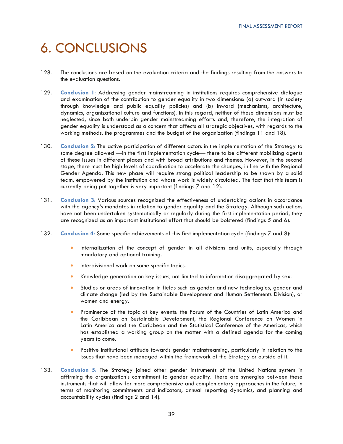## 6. CONCLUSIONS

- 128. The conclusions are based on the evaluation criteria and the findings resulting from the answers to the evaluation questions.
- 129. **Conclusion 1**: Addressing gender mainstreaming in institutions requires comprehensive dialogue and examination of the contribution to gender equality in two dimensions: (a) outward (in society through knowledge and public equality policies) and (b) inward (mechanisms, architecture, dynamics, organizational culture and functions). In this regard, neither of these dimensions must be neglected, since both underpin gender mainstreaming efforts and, therefore, the integration of gender equality is understood as a concern that affects all strategic objectives, with regards to the working methods, the programmes and the budget of the organization (findings 11 and 18).
- 130. **Conclusion 2**: The active participation of different actors in the implementation of the Strategy to some degree allowed —in the first implementation cycle— there to be different mobilizing agents of these issues in different places and with broad attributions and themes. However, in the second stage, there must be high levels of coordination to accelerate the changes, in line with the Regional Gender Agenda. This new phase will require strong political leadership to be shown by a solid team, empowered by the institution and whose work is widely circulated. The fact that this team is currently being put together is very important (findings 7 and 12).
- 131. **Conclusion 3**: Various sources recognized the effectiveness of undertaking actions in accordance with the agency's mandates in relation to gender equality and the Strategy. Although such actions have not been undertaken systematically or regularly during the first implementation period, they are recognized as an important institutional effort that should be bolstered (findings 5 and 6).
- 132. **Conclusion 4**: Some specific achievements of this first implementation cycle (findings 7 and 8):
	- Internalization of the concept of gender in all divisions and units, especially through mandatory and optional training.
	- Interdivisional work on some specific topics.
	- Knowledge generation on key issues, not limited to information disaggregated by sex.
	- Studies or areas of innovation in fields such as gender and new technologies, gender and climate change (led by the Sustainable Development and Human Settlements Division), or women and energy.
	- Prominence of the topic at key events: the Forum of the Countries of Latin America and the Caribbean on Sustainable Development, the Regional Conference on Women in Latin America and the Caribbean and the Statistical Conference of the Americas, which has established a working group on the matter with a defined agenda for the coming years to come.
	- Positive institutional attitude towards gender mainstreaming, particularly in relation to the issues that have been managed within the framework of the Strategy or outside of it.
- 133. **Conclusion 5**: The Strategy joined other gender instruments of the United Nations system in affirming the organization's commitment to gender equality. There are synergies between these instruments that will allow for more comprehensive and complementary approaches in the future, in terms of monitoring commitments and indicators, annual reporting dynamics, and planning and accountability cycles (findings 2 and 14).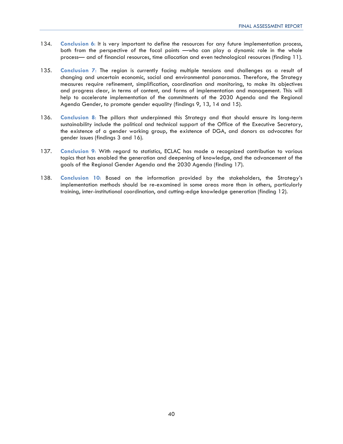- 134. **Conclusion 6**: It is very important to define the resources for any future implementation process, both from the perspective of the focal points —who can play a dynamic role in the whole process— and of financial resources, time allocation and even technological resources (finding 11).
- 135. **Conclusion 7**: The region is currently facing multiple tensions and challenges as a result of changing and uncertain economic, social and environmental panoramas. Therefore, the Strategy measures require refinement, simplification, coordination and monitoring, to make its objectives and progress clear, in terms of content, and forms of implementation and management. This will help to accelerate implementation of the commitments of the 2030 Agenda and the Regional Agenda Gender, to promote gender equality (findings 9, 13, 14 and 15).
- 136. **Conclusion 8**: The pillars that underpinned this Strategy and that should ensure its long-term sustainability include the political and technical support of the Office of the Executive Secretary, the existence of a gender working group, the existence of DGA, and donors as advocates for gender issues (findings 3 and 16).
- 137. **Conclusion 9**: With regard to statistics, ECLAC has made a recognized contribution to various topics that has enabled the generation and deepening of knowledge, and the advancement of the goals of the Regional Gender Agenda and the 2030 Agenda (finding 17).
- 138. **Conclusion 10**: Based on the information provided by the stakeholders, the Strategy's implementation methods should be re-examined in some areas more than in others, particularly training, inter-institutional coordination, and cutting-edge knowledge generation (finding 12).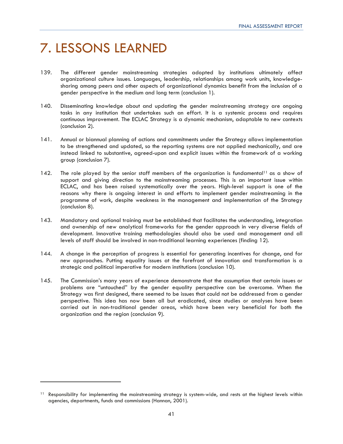## 7. LESSONS LEARNED

- 139. The different gender mainstreaming strategies adopted by institutions ultimately affect organizational culture issues. Languages, leadership, relationships among work units, knowledgesharing among peers and other aspects of organizational dynamics benefit from the inclusion of a gender perspective in the medium and long term (conclusion 1).
- 140. Disseminating knowledge about and updating the gender mainstreaming strategy are ongoing tasks in any institution that undertakes such an effort. It is a systemic process and requires continuous improvement. The ECLAC Strategy is a dynamic mechanism, adaptable to new contexts (conclusion 2).
- 141. Annual or biannual planning of actions and commitments under the Strategy allows implementation to be strengthened and updated, so the reporting systems are not applied mechanically, and are instead linked to substantive, agreed-upon and explicit issues within the framework of a working group (conclusion 7).
- 142. The role played by the senior staff members of the organization is fundamental<sup>11</sup> as a show of support and giving direction to the mainstreaming processes. This is an important issue within ECLAC, and has been raised systematically over the years. High-level support is one of the reasons why there is ongoing interest in and efforts to implement gender mainstreaming in the programme of work, despite weakness in the management and implementation of the Strategy (conclusion 8).
- 143. Mandatory and optional training must be established that facilitates the understanding, integration and ownership of new analytical frameworks for the gender approach in very diverse fields of development. Innovative training methodologies should also be used and management and all levels of staff should be involved in non-traditional learning experiences (finding 12).
- 144. A change in the perception of progress is essential for generating incentives for change, and for new approaches. Putting equality issues at the forefront of innovation and transformation is a strategic and political imperative for modern institutions (conclusion 10).
- 145. The Commission's many years of experience demonstrate that the assumption that certain issues or problems are "untouched" by the gender equality perspective can be overcome. When the Strategy was first designed, there seemed to be issues that could not be addressed from a gender perspective. This idea has now been all but eradicated, since studies or analyses have been carried out in non-traditional gender areas, which have been very beneficial for both the organization and the region (conclusion 9).

<sup>&</sup>lt;sup>11</sup> Responsibility for implementing the mainstreaming strategy is system-wide, and rests at the highest levels within agencies, departments, funds and commissions (Hannan, 2001).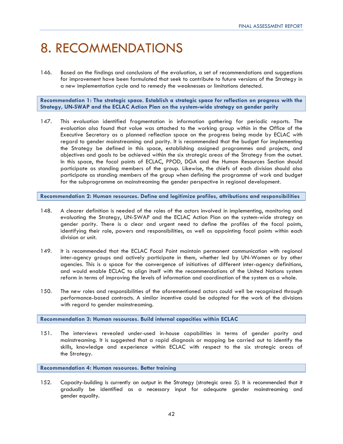## 8. RECOMMENDATIONS

146. Based on the findings and conclusions of the evaluation, a set of recommendations and suggestions for improvement have been formulated that seek to contribute to future versions of the Strategy in a new implementation cycle and to remedy the weaknesses or limitations detected.

**Recommendation 1: The strategic space. Establish a strategic space for reflection on progress with the Strategy, UN-SWAP and the ECLAC Action Plan on the system-wide strategy on gender parity** 

147. This evaluation identified fragmentation in information gathering for periodic reports. The evaluation also found that value was attached to the working group within in the Office of the Executive Secretary as a planned reflection space on the progress being made by ECLAC with regard to gender mainstreaming and parity. It is recommended that the budget for implementing the Strategy be defined in this space, establishing assigned programmes and projects, and objectives and goals to be achieved within the six strategic areas of the Strategy from the outset. In this space, the focal points of ECLAC, PPOD, DGA and the Human Resources Section should participate as standing members of the group. Likewise, the chiefs of each division should also participate as standing members of the group when defining the programme of work and budget for the subprogramme on mainstreaming the gender perspective in regional development.

**Recommendation 2: Human resources. Define and legitimize profiles, attributions and responsibilities** 

- 148. A clearer definition is needed of the roles of the actors involved in implementing, monitoring and evaluating the Strategy, UN-SWAP and the ECLAC Action Plan on the system-wide strategy on gender parity. There is a clear and urgent need to define the profiles of the focal points, identifying their role, powers and responsibilities, as well as appointing focal points within each division or unit.
- 149. It is recommended that the ECLAC Focal Point maintain permanent communication with regional inter-agency groups and actively participate in them, whether led by UN-Women or by other agencies. This is a space for the convergence of initiatives of different inter-agency definitions, and would enable ECLAC to align itself with the recommendations of the United Nations system reform in terms of improving the levels of information and coordination of the system as a whole.
- 150. The new roles and responsibilities of the aforementioned actors could well be recognized through performance-based contracts. A similar incentive could be adopted for the work of the divisions with regard to gender mainstreaming.

**Recommendation 3: Human resources. Build internal capacities within ECLAC** 

151. The interviews revealed under-used in-house capabilities in terms of gender parity and mainstreaming. It is suggested that a rapid diagnosis or mapping be carried out to identify the skills, knowledge and experience within ECLAC with respect to the six strategic areas of the Strategy.

**Recommendation 4: Human resources. Better training** 

152. Capacity-building is currently an output in the Strategy (strategic area 5). It is recommended that it gradually be identified as a necessary input for adequate gender mainstreaming and gender equality.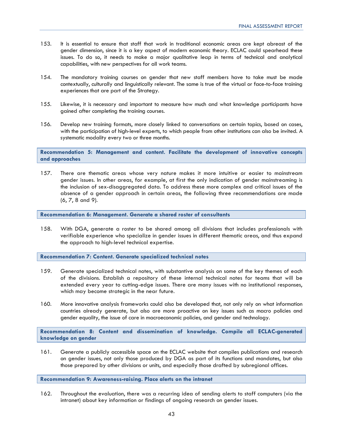- 153. It is essential to ensure that staff that work in traditional economic areas are kept abreast of the gender dimension, since it is a key aspect of modern economic theory. ECLAC could spearhead these issues. To do so, it needs to make a major qualitative leap in terms of technical and analytical capabilities, with new perspectives for all work teams.
- 154. The mandatory training courses on gender that new staff members have to take must be made contextually, culturally and linguistically relevant. The same is true of the virtual or face-to-face training experiences that are part of the Strategy.
- 155. Likewise, it is necessary and important to measure how much and what knowledge participants have gained after completing the training courses.
- 156. Develop new training formats, more closely linked to conversations on certain topics, based on cases, with the participation of high-level experts, to which people from other institutions can also be invited. A systematic modality every two or three months.

**Recommendation 5: Management and content. Facilitate the development of innovative concepts and approaches** 

157. There are thematic areas whose very nature makes it more intuitive or easier to mainstream gender issues. In other areas, for example, at first the only indication of gender mainstreaming is the inclusion of sex-disaggregated data. To address these more complex and critical issues of the absence of a gender approach in certain areas, the following three recommendations are made (6, 7, 8 and 9).

**Recommendation 6: Management. Generate a shared roster of consultants**

158. With DGA, generate a roster to be shared among all divisions that includes professionals with verifiable experience who specialize in gender issues in different thematic areas, and thus expand the approach to high-level technical expertise.

**Recommendation 7: Content. Generate specialized technical notes** 

- 159. Generate specialized technical notes, with substantive analysis on some of the key themes of each of the divisions. Establish a repository of these internal technical notes for teams that will be extended every year to cutting-edge issues. There are many issues with no institutional responses, which may become strategic in the near future.
- 160. More innovative analysis frameworks could also be developed that, not only rely on what information countries already generate, but also are more proactive on key issues such as macro policies and gender equality, the issue of care in macroeconomic policies, and gender and technology.

**Recommendation 8: Content and dissemination of knowledge. Compile all ECLAC-generated knowledge on gender** 

161. Generate a publicly accessible space on the ECLAC website that compiles publications and research on gender issues, not only those produced by DGA as part of its functions and mandates, but also those prepared by other divisions or units, and especially those drafted by subregional offices.

**Recommendation 9: Awareness-raising. Place alerts on the intranet** 

162. Throughout the evaluation, there was a recurring idea of sending alerts to staff computers (via the intranet) about key information or findings of ongoing research on gender issues.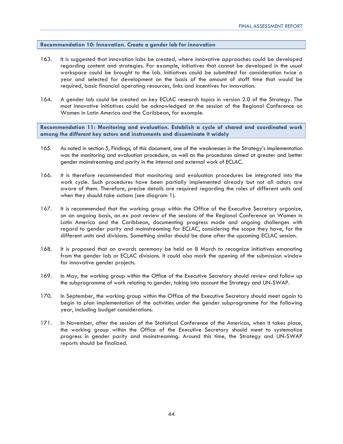### **Recommendation 10: Innovation. Create a gender lab for innovation**

- 163. It is suggested that innovation labs be created, where innovative approaches could be developed regarding content and strategies. For example, initiatives that cannot be developed in the usual workspace could be brought to the lab. Initiatives could be submitted for consideration twice a year and selected for development on the basis of the amount of staff time that would be required, basic financial operating resources, links and incentives for innovation.
- 164. A gender lab could be created on key ECLAC research topics in version 2.0 of the Strategy. The most innovative initiatives could be acknowledged at the session of the Regional Conference on Women in Latin America and the Caribbean, for example.

**Recommendation 11: Monitoring and evaluation. Establish a cycle of shared and coordinated work among the different key actors and instruments and disseminate it widely** 

- 165. As noted in section 5, Findings, of this document, one of the weaknesses in the Strategy's implementation was the monitoring and evaluation procedure, as well as the procedures aimed at greater and better gender mainstreaming and parity in the internal and external work of ECLAC.
- 166. It is therefore recommended that monitoring and evaluation procedures be integrated into the work cycle. Such procedures have been partially implemented already but not all actors are aware of them. Therefore, precise details are required regarding the roles of different units and when they should take actions (see diagram 1).
- 167. It is recommended that the working group within the Office of the Executive Secretary organize, on an ongoing basis, an ex post review of the sessions of the Regional Conference on Women in Latin America and the Caribbean, documenting progress made and ongoing challenges with regard to gender parity and mainstreaming for ECLAC, considering the scope they have, for the different units and divisions. Something similar should be done after the upcoming ECLAC session.
- 168. It is proposed that an awards ceremony be held on 8 March to recognize initiatives emanating from the gender lab or ECLAC divisions. It could also mark the opening of the submission window for innovative gender projects.
- 169. In May, the working group within the Office of the Executive Secretary should review and follow up the subprogramme of work relating to gender, taking into account the Strategy and UN-SWAP.
- 170. In September, the working group within the Office of the Executive Secretary should meet again to begin to plan implementation of the activities under the gender subprogramme for the following year, including budget considerations.
- 171. In November, after the session of the Statistical Conference of the Americas, when it takes place, the working group within the Office of the Executive Secretary should meet to systematize progress in gender parity and mainstreaming. Around this time, the Strategy and UN-SWAP reports should be finalized.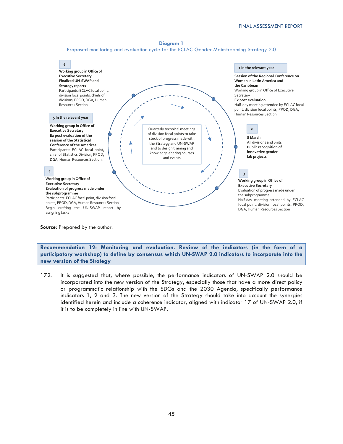



**Source:** Prepared by the author.

**Recommendation 12: Monitoring and evaluation. Review of the indicators (in the form of a participatory workshop) to define by consensus which UN-SWAP 2.0 indicators to incorporate into the new version of the Strategy** 

172. It is suggested that, where possible, the performance indicators of UN-SWAP 2.0 should be incorporated into the new version of the Strategy, especially those that have a more direct policy or programmatic relationship with the SDGs and the 2030 Agenda, specifically performance indicators 1, 2 and 3. The new version of the Strategy should take into account the synergies identified herein and include a coherence indicator, aligned with indicator 17 of UN-SWAP 2.0, if it is to be completely in line with UN-SWAP.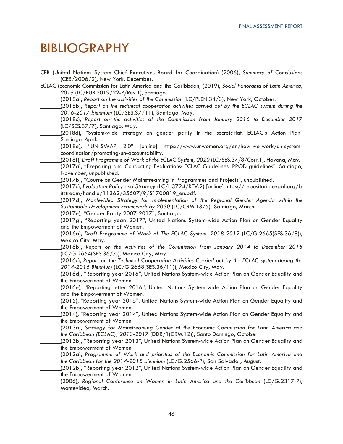## BIBLIOGRAPHY

| CEB (United Nations System Chief Executives Board for Coordination) (2006), Summary of Conclusions<br>(CEB/2006/2), New York, December. |
|-----------------------------------------------------------------------------------------------------------------------------------------|
| ECLAC (Economic Commission for Latin America and the Caribbean) (2019), Social Panorama of Latin America,                               |
| 2019 (LC/PUB.2019/22-P/Rev.1), Santiago.                                                                                                |
| (2018a), Report on the activities of the Commission (LC/PLEN.34/3), New York, October.                                                  |
| (2018b), Report on the technical cooperation activities carried out by the ECLAC system during the                                      |
| 2016-2017 biennium (LC/SES.37/11), Santiago, May.                                                                                       |
| (2018c), Report on the activities of the Commission from January 2016 to December 2017                                                  |
| (LC/SES.37/7), Santiago, May.                                                                                                           |
| (2018d), "System-wide strategy on gender parity in the secretariat. ECLAC's Action Plan"                                                |
| Santiago, April.                                                                                                                        |
| 2.0" [online] https://www.unwomen.org/en/how-we-work/un-system-<br>(2018e), "UN-SWAP                                                    |
| coordination/promoting-un-accountability.                                                                                               |
| (2018f), Draft Programme of Work of the ECLAC System, 2020 (LC/SES.37/8/Corr.1), Havana, May.                                           |
| (2017a), "Preparing and Conducting Evaluations: ECLAC Guidelines, PPOD guidelines", Santiago,                                           |
| November, unpublished.                                                                                                                  |
| (2017b), "Course on Gender Mainstreaming in Programmes and Projects", unpublished.                                                      |
| (2017c), Evaluation Policy and Strategy (LC/L.3724/REV.2) [online] https://repositorio.cepal.org/b                                      |
| itstream/handle/11362/35507/9/S1700819_en.pdf.                                                                                          |
| (2017d), Montevideo Strategy for Implementation of the Regional Gender Agenda within the                                                |
| Sustainable Development Framework by 2030 (LC/CRM.13/5), Santiago, March.                                                               |
| (2017e), "Gender Parity 2007-2017", Santiago.                                                                                           |
| (2017g), "Reporting year: 2017", United Nations System-wide Action Plan on Gender Equality                                              |
| and the Empowerment of Women.                                                                                                           |
| (2016a), Draft Programme of Work of The ECLAC System, 2018-2019 (LC/G.2665(SES.36/8)),                                                  |
| Mexico City, May.                                                                                                                       |
| (2016b), Report on the Activities of the Commission from January 2014 to December 2015                                                  |
| (LC/G.2664(SES.36/7)), Mexico City, May.                                                                                                |
| (2016c), Report on the Technical Cooperation Activities Carried out by the ECLAC system during the                                      |
| 2014-2015 Biennium (LC/G.2668(SES.36/11)), Mexico City, May.                                                                            |
| (2016d), "Reporting year 2016", United Nations System-wide Action Plan on Gender Equality and                                           |
| the Empowerment of Women.                                                                                                               |
| (2016e), "Reporting letter 2016", United Nations System-wide Action Plan on Gender Equality                                             |
| and the Empowerment of Women.                                                                                                           |
|                                                                                                                                         |
| (2015), "Reporting year 2015", United Nations System-wide Action Plan on Gender Equality and<br>the Empowerment of Women.               |
|                                                                                                                                         |
| (2014), "Reporting year 2014", United Nations System-wide Action Plan on Gender Equality and                                            |
| the Empowerment of Women.                                                                                                               |
| (2013a), Strategy for Mainstreaming Gender at the Economic Commission for Latin America and                                             |
| the Caribbean (ECLAC), 2013-2017 (DDR/1(CRM.12)), Santo Domingo, October.                                                               |
| (2013b), "Reporting year 2013", United Nations System-wide Action Plan on Gender Equality and                                           |
| the Empowerment of Women.                                                                                                               |
| (2012a), Programme of Work and priorities of the Economic Commission for Latin America and                                              |
| the Caribbean for the 2014-2015 biennium (LC/G.2566-P), San Salvador, August.                                                           |
| (2012b), "Reporting year 2012", United Nations System-wide Action Plan on Gender Equality and                                           |
| the Empowerment of Women.                                                                                                               |
| (2006), Regional Conference on Women in Latin America and the Caribbean (LC/G.2317-P),                                                  |
| Montevideo, March.                                                                                                                      |
|                                                                                                                                         |
|                                                                                                                                         |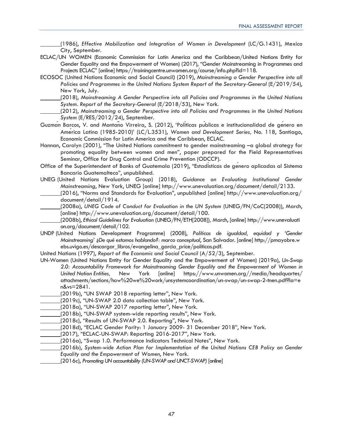(1986), *Effective Mobilization and Integration of Women in Development* (LC/G.1431), Mexico City, September.

- ECLAC/UN WOMEN (Economic Commission for Latin America and the Caribbean/United Nations Entity for Gender Equality and the Empowerment of Women) (2017), "Gender Mainstreaming in Programmes and Projects ECLAC" [online] https://trainingcentre.unwomen.org/course/info.php?id=118.
- ECOSOC (United Nations Economic and Social Council**)** (2019), *Mainstreaming a Gender Perspective into all Policies and Programmes in the United Nations System Report of the Secretary-General* (E/2019/54), New York, July.
	- (2018), *Mainstreaming A Gender Perspective into all Policies and Programmes in the United Nations System. Report of the Secretary-General* (E/2018/53), New York.
	- (2012), *Mainstreaming a Gender Perspective into all Policies and Programmes in the United Nations System* (E/RES/2012/24), September.
- Guzman Barcos, V. and Montano Virreira, S. (2012), 'Politicas publicas e institucionalidad de genero en Ameғrica Latina (1985-2010)' (LC/L.3531), *Women and Development Series,* No. 118, Santiago, Economic Commission for Latin America and the Caribbean, ECLAC.
- Hannan, Carolyn (2001), "The United Nations commitment to gender mainstreaming -a global strategy for promoting equality between women and men", paper prepared for the Field Representatives Seminar, Office for Drug Control and Crime Prevention (ODCCP).
- Office of the Superintendent of Banks of Guatemala (2019), "Estadisticas de genero aplicadas al Sistema Bancario Guatemalteco", unpublished.
- UNEG (United Nations Evaluation Group) (2018), *Guidance on Evaluating Institutional Gender Mainstreaming*, New York, UNEG [online] http://www.unevaluation.org/document/detail/2133.
- (2016), "Norms and Standards for Evaluation", unpublished [online] http://www.unevaluation.org/ document/detail/1914.
- (2008a), *UNEG Code of Conduct for Evaluation in the UN System* (UNEG/FN/CoC(2008)), March, [online] http://www.unevaluation.org/document/detail/100.
- (2008b), *Ethical Guidelines for Evaluation* (UNEG/FN/ETH[2008])*,* March, [online] http://www.unevaluati on.org/document/detail/102.
- UNDP (United Nations Development Programme) (2008), *Políticas de igualdad, equidad y 'Gender Mainstreaming' ¿De qué estamos hablando?: marco conceptual*, San Salvador. [online] http://pmayobre.w ebs.uvigo.es/descargar\_libros/evangelina\_garcia\_price/politicas.pdf.
- United Nations (1997), *Report of the Economic and Social Council* (A/52/3), September.
- UN-Women (United Nations Entity for Gender Equality and the Empowerment of Women) (2019a), *Un-Swap 2.0: Accountability Framework for Mainstreaming Gender Equality and the Empowerment of Women in United Nation Entities,* New York [online] https://www.unwomen.org//media/headquartes/ attachments/sections/how%20we%20work/unsystemcoordination/un-swap/un-swap-2-tnen.pdf?la=e n&vs=2841.
	- (2019b), "UN SWAP 2018 reporting letter", New York.
- (2019c), "UN-SWAP 2.0 data collection table", New York*.*
- (2018a), "UN-SWAP 2017 reporting letter", New York*.*
- (2018b), "UN-SWAP system-wide reporting results", New York*.*
- (2018c), "Results of UN-SWAP 2.0. Reporting", New York*.*
- (2018d), "ECLAC Gender Parity: 1 January 2009- 31 December 2018", New York*.*
- (2017), "ECLAC-UN-SWAP: Reporting 2016-2017", New York*.*
- (2016a), "Swap 1.0. Performance Indicators Technical Notes", New York*.*
- (2016b), *System-wide Action Plan for Implementation of the United Nations CEB Policy on Gender Equality and the Empowerment of Women*, New York.
- (2016c), *Promoting UN accountability (UN-SWAP and UNCT-SWAP)* [online]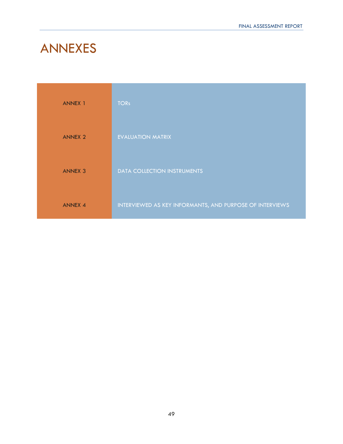## ANNEXES

| <b>ANNEX 1</b> | <b>TORs</b>                                              |
|----------------|----------------------------------------------------------|
| <b>ANNEX 2</b> | <b>EVALUATION MATRIX</b>                                 |
| <b>ANNEX 3</b> | <b>DATA COLLECTION INSTRUMENTS</b>                       |
| <b>ANNEX 4</b> | INTERVIEWED AS KEY INFORMANTS, AND PURPOSE OF INTERVIEWS |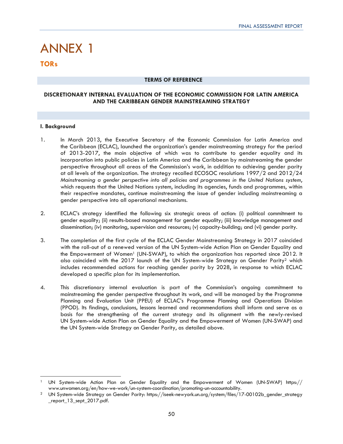# ANNEX 1

### **TORs**

### **TERMS OF REFERENCE**

### **DISCRETIONARY INTERNAL EVALUATION OF THE ECONOMIC COMMISSION FOR LATIN AMERICA AND THE CARIBBEAN GENDER MAINSTREAMING STRATEGY**

### **I. Background**

- 1. In March 2013, the Executive Secretary of the Economic Commission for Latin America and the Caribbean (ECLAC), launched the organization's gender mainstreaming strategy for the period of 2013-2017, the main objective of which was to contribute to gender equality and its incorporation into public policies in Latin America and the Caribbean by mainstreaming the gender perspective throughout all areas of the Commission's work, in addition to achieving gender parity at all levels of the organization. The strategy recalled ECOSOC resolutions 1997/2 and 2012/24 *Mainstreaming a gender perspective into all policies and programmes in the United Nations system*, which requests that the United Nations system, including its agencies, funds and programmes, within their respective mandates, continue mainstreaming the issue of gender including mainstreaming a gender perspective into all operational mechanisms.
- 2. ECLAC's strategy identified the following six strategic areas of action: (i) political commitment to gender equality; (ii) results-based management for gender equality; (iii) knowledge management and dissemination; (iv) monitoring, supervision and resources; (v) capacity-building; and (vi) gender parity.
- 3. The completion of the first cycle of the ECLAC Gender Mainstreaming Strategy in 2017 coincided with the roll-out of a renewed version of the UN System-wide Action Plan on Gender Equality and the Empowerment of Women<sup>1</sup> (UN-SWAP), to which the organization has reported since 2012. It also coincided with the 2017 launch of the UN System-wide Strategy on Gender Parity2 which includes recommended actions for reaching gender parity by 2028, in response to which ECLAC developed a specific plan for its implementation.
- 4. This discretionary internal evaluation is part of the Commission's ongoing commitment to mainstreaming the gender perspective throughout its work, and will be managed by the Programme Planning and Evaluation Unit (PPEU) of ECLAC's Programme Planning and Operations Division (PPOD). Its findings, conclusions, lessons learned and recommendations shall inform and serve as a basis for the strengthening of the current strategy and its alignment with the newly-revised UN System-wide Action Plan on Gender Equality and the Empowerment of Women (UN-SWAP) and the UN System-wide Strategy on Gender Parity, as detailed above.

<sup>1</sup> UN System-wide Action Plan on Gender Equality and the Empowerment of Women (UN-SWAP) https:// www.unwomen.org/en/how-we-work/un-system-coordination/promoting-un-accountability. 2 UN System-wide Strategy on Gender Parity: https://iseek-newyork.un.org/system/files/17-00102b\_gender\_strategy

\_report\_13\_sept\_2017.pdf.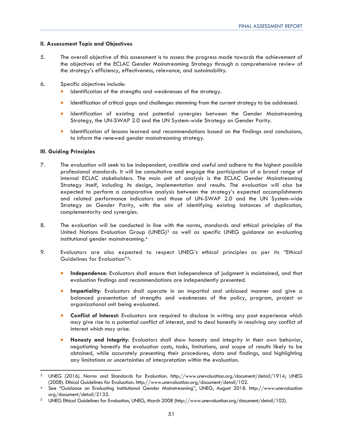### **II. Assessment Topic and Objectives**

- 5. The overall objective of this assessment is to assess the progress made towards the achievement of the objectives of the ECLAC Gender Mainstreaming Strategy through a comprehensive review of the strategy's efficiency, effectiveness, relevance, and sustainability.
- 6. Specific objectives include:
	- Identification of the strengths and weaknesses of the strategy.
	- Identification of critical gaps and challenges stemming from the current strategy to be addressed.
	- Identification of existing and potential synergies between the Gender Mainstreaming Strategy, the UN-SWAP 2.0 and the UN System-wide Strategy on Gender Parity.
	- Identification of lessons learned and recommendations based on the findings and conclusions, to inform the renewed gender mainstreaming strategy.

### **III. Guiding Principles**

- 7. The evaluation will seek to be independent, credible and useful and adhere to the highest possible professional standards. It will be consultative and engage the participation of a broad range of internal ECLAC stakeholders. The main unit of analysis is the ECLAC Gender Mainstreaming Strategy itself, including its design, implementation and results. The evaluation will also be expected to perform a comparative analysis between the strategy's expected accomplishments and related performance indicators and those of UN-SWAP 2.0 and the UN System-wide Strategy on Gender Parity, with the aim of identifying existing instances of duplication, complementarity and synergies.
- 8. The evaluation will be conducted in line with the norms, standards and ethical principles of the United Nations Evaluation Group (UNEG)<sup>3</sup> as well as specific UNEG guidance on evaluating institutional gender mainstreaming.4
- 9. Evaluators are also expected to respect UNEG's ethical principles as per its "Ethical Guidelines for Evaluation"5:
	- **Independence**: Evaluators shall ensure that independence of judgment is maintained, and that evaluation findings and recommendations are independently presented.
	- **Impartiality**: Evaluators shall operate in an impartial and unbiased manner and give a balanced presentation of strengths and weaknesses of the policy, program, project or organizational unit being evaluated.
	- **Conflict of Interest**: Evaluators are required to disclose in writing any past experience which may give rise to a potential conflict of interest, and to deal honestly in resolving any conflict of interest which may arise.
	- **Honesty and Integrity**: Evaluators shall show honesty and integrity in their own behavior, negotiating honestly the evaluation costs, tasks, limitations, and scope of results likely to be obtained, while accurately presenting their procedures, data and findings, and highlighting any limitations or uncertainties of interpretation within the evaluation.

<sup>&</sup>lt;sup>3</sup> UNEG (2016). Norms and Standards for Evaluation. http://www.unevaluation.org/document/detail/1914; UNEG (2008). Ethical Guidelines for Evaluation. http://www.unevaluation.org/document/detail/102.

See "Guidance on Evaluating Institutional Gender Mainstreaming", UNEG, August 2018. http://www.unevaluation org/document/detail/2133. 5 UNEG Ethical Guidelines for Evaluation, UNEG, March 2008 (http://www.unevaluation.org/document/detail/102).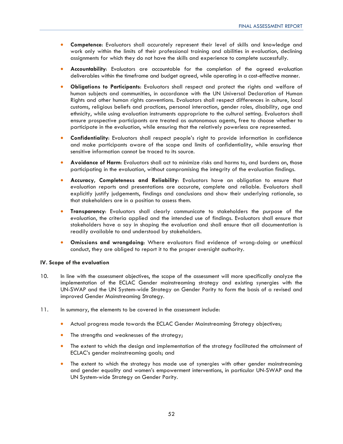- **Competence**: Evaluators shall accurately represent their level of skills and knowledge and work only within the limits of their professional training and abilities in evaluation, declining assignments for which they do not have the skills and experience to complete successfully.
- **Accountability**: Evaluators are accountable for the completion of the agreed evaluation deliverables within the timeframe and budget agreed, while operating in a cost-effective manner.
- **Obligations to Participants**: Evaluators shall respect and protect the rights and welfare of human subjects and communities, in accordance with the UN Universal Declaration of Human Rights and other human rights conventions. Evaluators shall respect differences in culture, local customs, religious beliefs and practices, personal interaction, gender roles, disability, age and ethnicity, while using evaluation instruments appropriate to the cultural setting. Evaluators shall ensure prospective participants are treated as autonomous agents, free to choose whether to participate in the evaluation, while ensuring that the relatively powerless are represented.
- **Confidentiality**: Evaluators shall respect people's right to provide information in confidence and make participants aware of the scope and limits of confidentiality, while ensuring that sensitive information cannot be traced to its source.
- **Avoidance of Harm**: Evaluators shall act to minimize risks and harms to, and burdens on, those participating in the evaluation, without compromising the integrity of the evaluation findings.
- **Accuracy, Completeness and Reliability**: Evaluators have an obligation to ensure that evaluation reports and presentations are accurate, complete and reliable. Evaluators shall explicitly justify judgements, findings and conclusions and show their underlying rationale, so that stakeholders are in a position to assess them.
- **Transparency**: Evaluators shall clearly communicate to stakeholders the purpose of the evaluation, the criteria applied and the intended use of findings. Evaluators shall ensure that stakeholders have a say in shaping the evaluation and shall ensure that all documentation is readily available to and understood by stakeholders.
- **Omissions and wrongdoing**: Where evaluators find evidence of wrong-doing or unethical conduct, they are obliged to report it to the proper oversight authority.

### **IV. Scope of the evaluation**

- 10. In line with the assessment objectives, the scope of the assessment will more specifically analyze the implementation of the ECLAC Gender mainstreaming strategy and existing synergies with the UN-SWAP and the UN System-wide Strategy on Gender Parity to form the basis of a revised and improved Gender Mainstreaming Strategy.
- 11. In summary, the elements to be covered in the assessment include:
	- Actual progress made towards the ECLAC Gender Mainstreaming Strategy objectives;
	- The strengths and weaknesses of the strategy;
	- The extent to which the design and implementation of the strategy facilitated the attainment of ECLAC's gender mainstreaming goals; and
	- The extent to which the strategy has made use of synergies with other gender mainstreaming and gender equality and women's empowerment interventions, in particular UN-SWAP and the UN System-wide Strategy on Gender Parity.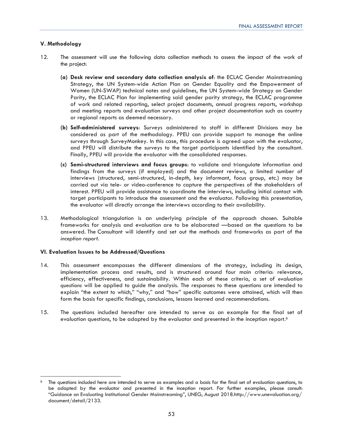### **V. Methodology**

- 12. The assessment will use the following data collection methods to assess the impact of the work of the project:
	- **(a) Desk review and secondary data collection analysis of**: the ECLAC Gender Mainstreaming Strategy, the UN System-wide Action Plan on Gender Equality and the Empowerment of Women (UN-SWAP) technical notes and guidelines, the UN System-wide Strategy on Gender Parity, the ECLAC Plan for implementing said gender parity strategy, the ECLAC programme of work and related reporting, select project documents, annual progress reports, workshop and meeting reports and evaluation surveys and other project documentation such as country or regional reports as deemed necessary.
	- **(b) Self-administered surveys**: Surveys administered to staff in different Divisions may be considered as part of the methodology. PPEU can provide support to manage the online surveys through SurveyMonkey. In this case, this procedure is agreed upon with the evaluator, and PPEU will distribute the surveys to the target participants identified by the consultant. Finally, PPEU will provide the evaluator with the consolidated responses.
	- **(c) Semi-structured interviews and focus groups**: to validate and triangulate information and findings from the surveys (if employed) and the document reviews, a limited number of interviews (structured, semi-structured, in-depth, key informant, focus group, etc.) may be carried out via tele- or video-conference to capture the perspectives of the stakeholders of interest. PPEU will provide assistance to coordinate the interviews, including initial contact with target participants to introduce the assessment and the evaluator. Following this presentation, the evaluator will directly arrange the interviews according to their availability.
- 13. Methodological triangulation is an underlying principle of the approach chosen. Suitable frameworks for analysis and evaluation are to be elaborated —based on the questions to be answered. The Consultant will identify and set out the methods and frameworks as part of the *inception report*.

### **VI. Evaluation Issues to be Addressed/Questions**

- 14. This assessment encompasses the different dimensions of the strategy, including its design, implementation process and results, and is structured around four main criteria: relevance, efficiency, effectiveness, and sustainability. Within each of these criteria, a set of *evaluation questions* will be applied to guide the analysis. The responses to these questions are intended to explain "the extent to which," "why," and "how" specific outcomes were attained, which will then form the basis for specific findings, conclusions, lessons learned and recommendations.
- 15. The questions included hereafter are intended to serve as an example for the final set of evaluation questions, to be adapted by the evaluator and presented in the inception report.<sup>6</sup>

 $6$  The questions included here are intended to serve as examples and a basis for the final set of evaluation questions, to be adapted by the evaluator and presented in the inception report. For further examples, please consult: "Guidance on Evaluating Institutional Gender Mainstreaming", UNEG, August 2018.http://www.unevaluation.org/ document/detail/2133.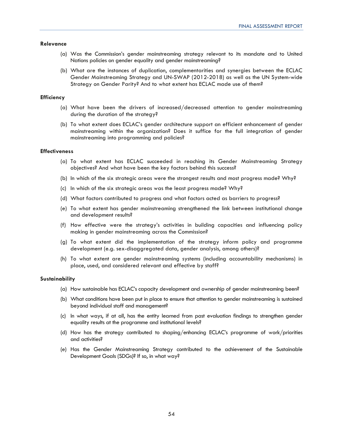### **Relevance**

- (a) Was the Commission's gender mainstreaming strategy relevant to its mandate and to United Nations policies on gender equality and gender mainstreaming?
- (b) What are the instances of duplication, complementarities and synergies between the ECLAC Gender Mainstreaming Strategy and UN-SWAP (2012-2018) as well as the UN System-wide Strategy on Gender Parity? And to what extent has ECLAC made use of them?

### **Efficiency**

- (a) What have been the drivers of increased/decreased attention to gender mainstreaming during the duration of the strategy?
- (b) To what extent does ECLAC's gender architecture support an efficient enhancement of gender mainstreaming within the organization? Does it suffice for the full integration of gender mainstreaming into programming and policies?

### **Effectiveness**

- (a) To what extent has ECLAC succeeded in reaching its Gender Mainstreaming Strategy objectives? And what have been the key factors behind this success?
- (b) In which of the six strategic areas were the strongest results and most progress made? Why?
- (c) In which of the six strategic areas was the least progress made? Why?
- (d) What factors contributed to progress and what factors acted as barriers to progress?
- (e) To what extent has gender mainstreaming strengthened the link between institutional change and development results?
- (f) How effective were the strategy's activities in building capacities and influencing policy making in gender mainstreaming across the Commission?
- (g) To what extent did the implementation of the strategy inform policy and programme development (e.g. sex-disaggregated data, gender analysis, among others)?
- (h) To what extent are gender mainstreaming systems (including accountability mechanisms) in place, used, and considered relevant and effective by staff?

### **Sustainability**

- (a) How sustainable has ECLAC's capacity development and ownership of gender mainstreaming been?
- (b) What conditions have been put in place to ensure that attention to gender mainstreaming is sustained beyond individual staff and management?
- (c) In what ways, if at all, has the entity learned from past evaluation findings to strengthen gender equality results at the programme and institutional levels?
- (d) How has the strategy contributed to shaping/enhancing ECLAC's programme of work/priorities and activities?
- (e) Has the Gender Mainstreaming Strategy contributed to the achievement of the Sustainable Development Goals (SDGs)? If so, in what way?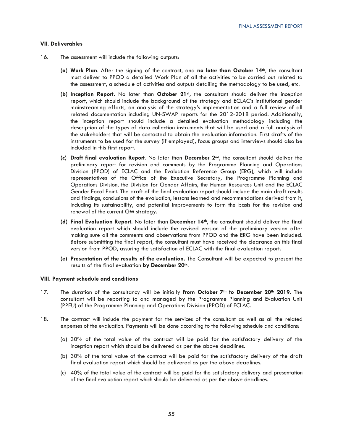### **VII. Deliverables**

- 16. The assessment will include the following outputs:
	- **(a) Work Plan**. After the signing of the contract, and **no later than October 14th**, the consultant must deliver to PPOD a detailed Work Plan of all the activities to be carried out related to the assessment, a schedule of activities and outputs detailing the methodology to be used, etc.
	- **(b) Inception Report.** No later than **October 21st**, the consultant should deliver the inception report, which should include the background of the strategy and ECLAC's institutional gender mainstreaming efforts, an analysis of the strategy's implementation and a full review of all related documentation including UN-SWAP reports for the 2012-2018 period. Additionally, the inception report should include a detailed evaluation methodology including the description of the types of data collection instruments that will be used and a full analysis of the stakeholders that will be contacted to obtain the evaluation information. First drafts of the instruments to be used for the survey (if employed), focus groups and interviews should also be included in this first report.
	- **(c) Draft final evaluation Report**. No later than **December 2nd**, the consultant should deliver the preliminary report for revision and comments by the Programme Planning and Operations Division (PPOD) of ECLAC and the Evaluation Reference Group (ERG), which will include representatives of the Office of the Executive Secretary, the Programme Planning and Operations Division, the Division for Gender Affairs, the Human Resources Unit and the ECLAC Gender Focal Point. The draft of the final evaluation report should include the main draft results and findings, conclusions of the evaluation, lessons learned and recommendations derived from it, including its sustainability, and potential improvements to form the basis for the revision and renewal of the current GM strategy.
	- **(d) Final Evaluation Report.** No later than **December 14th**, the consultant should deliver the final evaluation report which should include the revised version of the preliminary version after making sure all the comments and observations from PPOD and the ERG have been included. Before submitting the final report, the consultant must have received the clearance on this final version from PPOD, assuring the satisfaction of ECLAC with the final evaluation report.
	- **(e) Presentation of the results of the evaluation.** The Consultant will be expected to present the results of the final evaluation **by December 20th**.

### **VIII. Payment schedule and conditions**

- 17. The duration of the consultancy will be initially from October 7<sup>th</sup> to December 20<sup>th</sup> 2019. The consultant will be reporting to and managed by the Programme Planning and Evaluation Unit (PPEU) of the Programme Planning and Operations Division (PPOD) of ECLAC.
- 18. The contract will include the payment for the services of the consultant as well as all the related expenses of the evaluation. Payments will be done according to the following schedule and conditions:
	- (a) 30% of the total value of the contract will be paid for the satisfactory delivery of the inception report which should be delivered as per the above deadlines.
	- (b) 30% of the total value of the contract will be paid for the satisfactory delivery of the draft final evaluation report which should be delivered as per the above deadlines.
	- (c) 40% of the total value of the contract will be paid for the satisfactory delivery and presentation of the final evaluation report which should be delivered as per the above deadlines.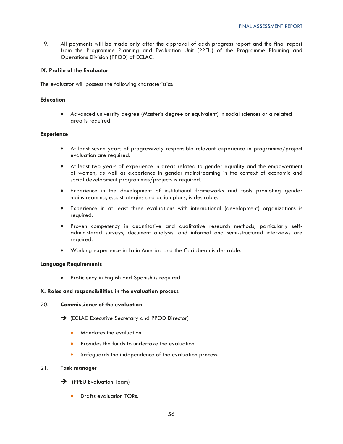19. All payments will be made only after the approval of each progress report and the final report from the Programme Planning and Evaluation Unit (PPEU) of the Programme Planning and Operations Division (PPOD) of ECLAC.

### **IX. Profile of the Evaluator**

The evaluator will possess the following characteristics:

### **Education**

• Advanced university degree (Master's degree or equivalent) in social sciences or a related area is required.

### **Experience**

- At least seven years of progressively responsible relevant experience in programme/project evaluation are required.
- At least two years of experience in areas related to gender equality and the empowerment of women, as well as experience in gender mainstreaming in the context of economic and social development programmes/projects is required.
- Experience in the development of institutional frameworks and tools promoting gender mainstreaming, e.g. strategies and action plans, is desirable.
- Experience in at least three evaluations with international (development) organizations is required.
- Proven competency in quantitative and qualitative research methods, particularly selfadministered surveys, document analysis, and informal and semi-structured interviews are required.
- Working experience in Latin America and the Caribbean is desirable.

### **Language Requirements**

• Proficiency in English and Spanish is required.

### **X. Roles and responsibilities in the evaluation process**

### 20. **Commissioner of the evaluation**

- → (ECLAC Executive Secretary and PPOD Director)
	- Mandates the evaluation.
	- Provides the funds to undertake the evaluation.
	- Safeguards the independence of the evaluation process.

### 21. **Task manager**

- $\rightarrow$  (PPEU Evaluation Team)
	- Drafts evaluation TORs.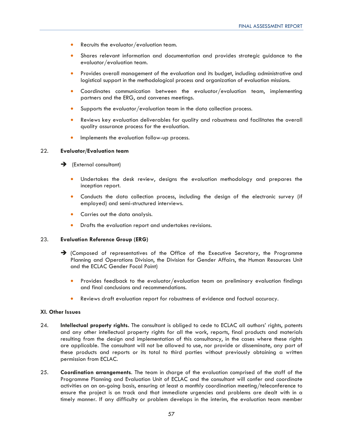- Recruits the evaluator/evaluation team.
- Shares relevant information and documentation and provides strategic guidance to the evaluator/evaluation team.
- Provides overall management of the evaluation and its budget, including administrative and logistical support in the methodological process and organization of evaluation missions.
- Coordinates communication between the evaluator/evaluation team, implementing partners and the ERG, and convenes meetings.
- Supports the evaluator/evaluation team in the data collection process.
- Reviews key evaluation deliverables for quality and robustness and facilitates the overall quality assurance process for the evaluation.
- Implements the evaluation follow-up process.

### 22. **Evaluator/Evaluation team**

- $\rightarrow$  (External consultant)
	- Undertakes the desk review, designs the evaluation methodology and prepares the inception report.
	- Conducts the data collection process, including the design of the electronic survey (if employed) and semi-structured interviews.
	- Carries out the data analysis.
	- Drafts the evaluation report and undertakes revisions.

### 23. **Evaluation Reference Group (ERG)**

- $\rightarrow$  (Composed of representatives of the Office of the Executive Secretary, the Programme Planning and Operations Division, the Division for Gender Affairs, the Human Resources Unit and the ECLAC Gender Focal Point)
	- Provides feedback to the evaluator/evaluation team on preliminary evaluation findings and final conclusions and recommendations.
	- Reviews draft evaluation report for robustness of evidence and factual accuracy.

### **XI. Other Issues**

- 24. **Intellectual property rights.** The consultant is obliged to cede to ECLAC all authors' rights, patents and any other intellectual property rights for all the work, reports, final products and materials resulting from the design and implementation of this consultancy, in the cases where these rights are applicable. The consultant will not be allowed to use, nor provide or disseminate, any part of these products and reports or its total to third parties without previously obtaining a written permission from ECLAC.
- 25. **Coordination arrangements**. The team in charge of the evaluation comprised of the staff of the Programme Planning and Evaluation Unit of ECLAC and the consultant will confer and coordinate activities on an on-going basis, ensuring at least a monthly coordination meeting/teleconference to ensure the project is on track and that immediate urgencies and problems are dealt with in a timely manner. If any difficulty or problem develops in the interim, the evaluation team member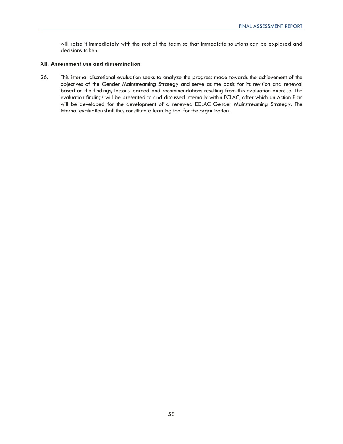will raise it immediately with the rest of the team so that immediate solutions can be explored and decisions taken.

### **XII. Assessment use and dissemination**

26. This internal discretional evaluation seeks to analyze the progress made towards the achievement of the objectives of the Gender Mainstreaming Strategy and serve as the basis for its revision and renewal based on the findings, lessons learned and recommendations resulting from this evaluation exercise. The evaluation findings will be presented to and discussed internally within ECLAC, after which an Action Plan will be developed for the development of a renewed ECLAC Gender Mainstreaming Strategy. The internal evaluation shall thus constitute a learning tool for the organization.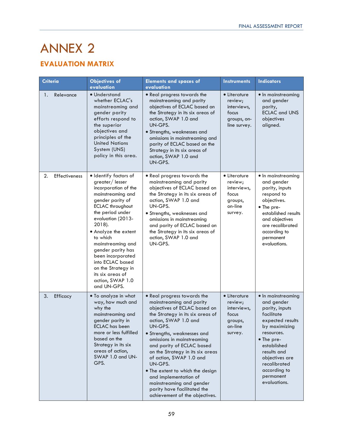# ANNEX 2

## **EVALUATION MATRIX**

| <b>Criteria</b>            | <b>Objectives of</b><br>evaluation                                                                                                                                                                                                                                                                                                                                                         | <b>Elements and spaces of</b><br>evaluation                                                                                                                                                                                                                                                                                                                                                                                                                                                  | <b>Instruments</b>                                                               | <b>Indicators</b>                                                                                                                                                                                                                              |
|----------------------------|--------------------------------------------------------------------------------------------------------------------------------------------------------------------------------------------------------------------------------------------------------------------------------------------------------------------------------------------------------------------------------------------|----------------------------------------------------------------------------------------------------------------------------------------------------------------------------------------------------------------------------------------------------------------------------------------------------------------------------------------------------------------------------------------------------------------------------------------------------------------------------------------------|----------------------------------------------------------------------------------|------------------------------------------------------------------------------------------------------------------------------------------------------------------------------------------------------------------------------------------------|
| Relevance<br>1.            | · Understand<br>whether ECLAC's<br>mainstreaming and<br>gender parity<br>efforts respond to<br>the superior<br>objectives and<br>principles of the<br><b>United Nations</b><br>System (UNS)<br>policy in this area.                                                                                                                                                                        | • Real progress towards the<br>mainstreaming and parity<br>objectives of ECLAC based on<br>the Strategy in its six areas of<br>action, SWAP 1.0 and<br>UN-GPS.<br>• Strengths, weaknesses and<br>omissions in mainstreaming and<br>parity of ECLAC based on the<br>Strategy in its six areas of<br>action, SWAP 1.0 and<br>UN-GPS.                                                                                                                                                           | • Literature<br>review;<br>interviews,<br>focus<br>groups, on-<br>line survey.   | • In mainstreaming<br>and gender<br>parity,<br><b>ECLAC and UNS</b><br>objectives<br>aligned.                                                                                                                                                  |
| 2.<br><b>Effectiveness</b> | · Identify factors of<br>greater/lesser<br>incorporation of the<br>mainstreaming and<br>gender parity of<br><b>ECLAC</b> throughout<br>the period under<br>evaluation (2013-<br>2018).<br>• Analyze the extent<br>to which<br>mainstreaming and<br>gender parity has<br>been incorporated<br>into ECLAC based<br>on the Strategy in<br>its six areas of<br>action, SWAP 1.0<br>and UN-GPS. | • Real progress towards the<br>mainstreaming and parity<br>objectives of ECLAC based on<br>the Strategy in its six areas of<br>action, SWAP 1.0 and<br>UN-GPS.<br>· Strengths, weaknesses and<br>omissions in mainstreaming<br>and parity of ECLAC based on<br>the Strategy in its six areas of<br>action, SWAP 1.0 and<br>UN-GPS.                                                                                                                                                           | • Literature<br>review;<br>interviews,<br>focus<br>groups,<br>on-line<br>survey. | • In mainstreaming<br>and gender<br>parity, inputs<br>respond to<br>objectives.<br>• The pre-<br>established results<br>and objectives<br>are recalibrated<br>according to<br>permanent<br>evaluations.                                        |
| 3.<br>Efficacy             | • To analyze in what<br>way, how much and<br>why the<br>mainstreaming and<br>gender parity in<br>ECLAC has been<br>more or less fulfilled<br>based on the<br>Strategy in its six<br>areas of action,<br>SWAP 1.0 and UN-<br>GPS.                                                                                                                                                           | • Real progress towards the<br>mainstreaming and parity<br>objectives of ECLAC based on<br>the Strategy in its six areas of<br>action, SWAP 1.0 and<br>UN-GPS.<br>• Strengths, weaknesses and<br>omissions in mainstreaming<br>and parity of ECLAC based<br>on the Strategy in its six areas<br>of action, SWAP 1.0 and<br>UN-GPS.<br>• The extent to which the design<br>and implementation of<br>mainstreaming and gender<br>parity have facilitated the<br>achievement of the objectives. | • Literature<br>review;<br>interviews,<br>focus<br>groups,<br>on-line<br>survey. | • In mainstreaming<br>and gender<br>parity, inputs<br>facilitate<br>expected results<br>by maximizing<br>resources.<br>• The pre-<br>established<br>results and<br>objectives are<br>recalibrated<br>according to<br>permanent<br>evaluations. |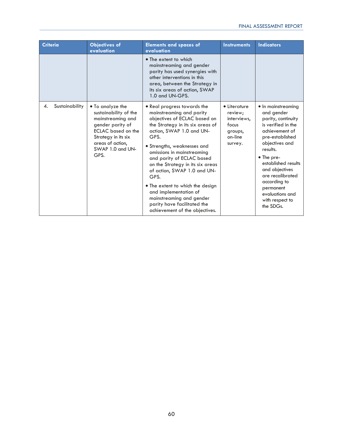| <b>Criteria</b>      | <b>Objectives of</b><br>evaluation                                                                                                                                              | <b>Elements and spaces of</b><br>evaluation                                                                                                                                                                                                                                                                                                                                                                                                                                                    | <b>Instruments</b>                                                               | <b>Indicators</b>                                                                                                                                                                                                                                                                                          |
|----------------------|---------------------------------------------------------------------------------------------------------------------------------------------------------------------------------|------------------------------------------------------------------------------------------------------------------------------------------------------------------------------------------------------------------------------------------------------------------------------------------------------------------------------------------------------------------------------------------------------------------------------------------------------------------------------------------------|----------------------------------------------------------------------------------|------------------------------------------------------------------------------------------------------------------------------------------------------------------------------------------------------------------------------------------------------------------------------------------------------------|
|                      |                                                                                                                                                                                 | • The extent to which<br>mainstreaming and gender<br>parity has used synergies with<br>other interventions in this<br>area, between the Strategy in<br>its six areas of action, SWAP<br>1.0 and UN-GPS.                                                                                                                                                                                                                                                                                        |                                                                                  |                                                                                                                                                                                                                                                                                                            |
| Sustainability<br>4. | • To analyze the<br>sustainability of the<br>mainstreaming and<br>gender parity of<br>ECLAC based on the<br>Strategy in its six<br>areas of action,<br>SWAP 1.0 and UN-<br>GPS. | • Real progress towards the<br>mainstreaming and parity<br>objectives of ECLAC based on<br>the Strategy in its six areas of<br>action, SWAP 1.0 and UN-<br>GPS.<br>· Strengths, weaknesses and<br>omissions in mainstreaming<br>and parity of ECLAC based<br>on the Strategy in its six areas<br>of action, SWAP 1.0 and UN-<br>GPS.<br>• The extent to which the design<br>and implementation of<br>mainstreaming and gender<br>parity have facilitated the<br>achievement of the objectives. | • Literature<br>review;<br>interviews,<br>focus<br>groups,<br>on-line<br>survey. | • In mainstreaming<br>and gender<br>parity, continuity<br>is verified in the<br>achievement of<br>pre-established<br>objectives and<br>results.<br>• The pre-<br>established results<br>and objectives<br>are recalibrated<br>according to<br>permanent<br>evaluations and<br>with respect to<br>the SDGs. |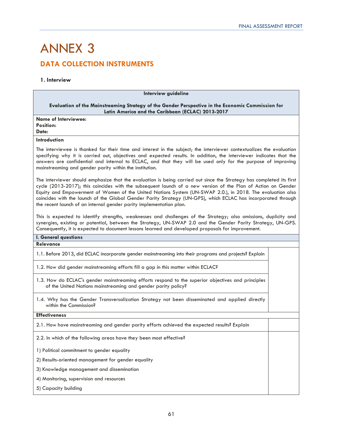## ANNEX 3 **DATA COLLECTION INSTRUMENTS**

### **1. Interview**

| Interview guideline                                                                                                                                                                                                                                                                                                                                                                                                                                                                                                                        |  |  |
|--------------------------------------------------------------------------------------------------------------------------------------------------------------------------------------------------------------------------------------------------------------------------------------------------------------------------------------------------------------------------------------------------------------------------------------------------------------------------------------------------------------------------------------------|--|--|
| Evaluation of the Mainstreaming Strategy of the Gender Perspective in the Economic Commission for<br>Latin America and the Caribbean (ECLAC) 2013-2017                                                                                                                                                                                                                                                                                                                                                                                     |  |  |
| <b>Name of Interviewee:</b><br><b>Position:</b><br>Date:                                                                                                                                                                                                                                                                                                                                                                                                                                                                                   |  |  |
| <b>Introduction</b>                                                                                                                                                                                                                                                                                                                                                                                                                                                                                                                        |  |  |
| The interviewee is thanked for their time and interest in the subject; the interviewer contextualizes the evaluation<br>specifying why it is carried out, objectives and expected results. In addition, the interviewer indicates that the<br>answers are confidential and internal to ECLAC, and that they will be used only for the purpose of improving<br>mainstreaming and gender parity within the institution.                                                                                                                      |  |  |
| The interviewer should emphasize that the evaluation is being carried out since the Strategy has completed its first<br>cycle (2013-2017); this coincides with the subsequent launch of a new version of the Plan of Action on Gender<br>Equity and Empowerment of Women of the United Nations System (UN-SWAP 2.0.), in 2018. The evaluation also<br>coincides with the launch of the Global Gender Parity Strategy (UN-GPS), which ECLAC has incorporated through<br>the recent launch of an internal gender parity implementation plan. |  |  |
| This is expected to identify strengths, weaknesses and challenges of the Strategy; also omissions, duplicity and<br>synergies, existing or potential, between the Strategy, UN-SWAP 2.0 and the Gender Parity Strategy, UN-GPS.<br>Consequently, it is expected to document lessons learned and developed proposals for improvement.                                                                                                                                                                                                       |  |  |
| I. General questions                                                                                                                                                                                                                                                                                                                                                                                                                                                                                                                       |  |  |
| <b>Relevance</b>                                                                                                                                                                                                                                                                                                                                                                                                                                                                                                                           |  |  |
| 1.1. Before 2013, did ECLAC incorporate gender mainstreaming into their programs and projects? Explain                                                                                                                                                                                                                                                                                                                                                                                                                                     |  |  |
| 1.2. How did gender mainstreaming efforts fill a gap in this matter within ECLAC?                                                                                                                                                                                                                                                                                                                                                                                                                                                          |  |  |
| 1.3. How do ECLAC's gender mainstreaming efforts respond to the superior objectives and principles<br>of the United Nations mainstreaming and gender parity policy?                                                                                                                                                                                                                                                                                                                                                                        |  |  |
| 1.4. Why has the Gender Transversalization Strategy not been disseminated and applied directly<br>within the Commission?                                                                                                                                                                                                                                                                                                                                                                                                                   |  |  |
| <b>Effectiveness</b>                                                                                                                                                                                                                                                                                                                                                                                                                                                                                                                       |  |  |
| 2.1. How have mainstreaming and gender parity efforts achieved the expected results? Explain                                                                                                                                                                                                                                                                                                                                                                                                                                               |  |  |
| 2.2. In which of the following areas have they been most effective?                                                                                                                                                                                                                                                                                                                                                                                                                                                                        |  |  |
| 1) Political commitment to gender equality                                                                                                                                                                                                                                                                                                                                                                                                                                                                                                 |  |  |
| 2) Results-oriented management for gender equality                                                                                                                                                                                                                                                                                                                                                                                                                                                                                         |  |  |
| 3) Knowledge management and dissemination                                                                                                                                                                                                                                                                                                                                                                                                                                                                                                  |  |  |
| 4) Monitoring, supervision and resources                                                                                                                                                                                                                                                                                                                                                                                                                                                                                                   |  |  |
| 5) Capacity building                                                                                                                                                                                                                                                                                                                                                                                                                                                                                                                       |  |  |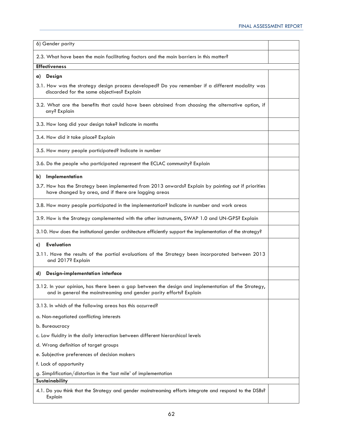| 6) Gender parity                                                                                                                                                          |  |  |
|---------------------------------------------------------------------------------------------------------------------------------------------------------------------------|--|--|
| 2.3. What have been the main facilitating factors and the main barriers in this matter?                                                                                   |  |  |
| <b>Effectiveness</b>                                                                                                                                                      |  |  |
| a) Design                                                                                                                                                                 |  |  |
| 3.1. How was the strategy design process developed? Do you remember if a different modality was<br>discarded for the same objectives? Explain                             |  |  |
| 3.2. What are the benefits that could have been obtained from choosing the alternative option, if<br>any? Explain                                                         |  |  |
| 3.3. How long did your design take? Indicate in months                                                                                                                    |  |  |
| 3.4. How did it take place? Explain                                                                                                                                       |  |  |
| 3.5. How many people participated? Indicate in number                                                                                                                     |  |  |
| 3.6. Do the people who participated represent the ECLAC community? Explain                                                                                                |  |  |
| b) Implementation                                                                                                                                                         |  |  |
| 3.7. How has the Strategy been implemented from 2013 onwards? Explain by pointing out if priorities<br>have changed by area, and if there are lagging areas               |  |  |
| 3.8. How many people participated in the implementation? Indicate in number and work areas                                                                                |  |  |
| 3.9. How is the Strategy complemented with the other instruments, SWAP 1.0 and UN-GPS? Explain                                                                            |  |  |
| 3.10. How does the institutional gender architecture efficiently support the implementation of the strategy?                                                              |  |  |
| <b>Evaluation</b><br>c)                                                                                                                                                   |  |  |
| 3.11. Have the results of the partial evaluations of the Strategy been incorporated between 2013<br>and 2017? Explain                                                     |  |  |
| Design-implementation interface<br>d)                                                                                                                                     |  |  |
| 3.12. In your opinion, has there been a gap between the design and implementation of the Strategy,<br>and in general the mainstreaming and gender parity efforts? Explain |  |  |
| 3.13. In which of the following areas has this occurred?                                                                                                                  |  |  |
| a. Non-negotiated conflicting interests                                                                                                                                   |  |  |
| b. Bureaucracy                                                                                                                                                            |  |  |
| c. Low fluidity in the daily interaction between different hierarchical levels                                                                                            |  |  |
| d. Wrong definition of target groups                                                                                                                                      |  |  |
| e. Subjective preferences of decision makers                                                                                                                              |  |  |
| f. Lack of opportunity                                                                                                                                                    |  |  |
| g. Simplification/distortion in the 'last mile' of implementation<br>Sustainability                                                                                       |  |  |
|                                                                                                                                                                           |  |  |
| 4.1. Do you think that the Strategy and gender mainstreaming efforts integrate and respond to the DSBs?<br>Explain                                                        |  |  |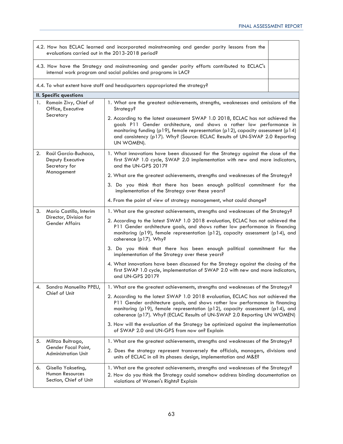|                                                                 | 4.2. How has ECLAC learned and incorporated mainstreaming and gender parity lessons from the<br>evaluations carried out in the 2013-2018 period? |                                                                                                                                                                                                                                                                                                                                          |  |  |
|-----------------------------------------------------------------|--------------------------------------------------------------------------------------------------------------------------------------------------|------------------------------------------------------------------------------------------------------------------------------------------------------------------------------------------------------------------------------------------------------------------------------------------------------------------------------------------|--|--|
|                                                                 |                                                                                                                                                  | 4.3. How have the Strategy and mainstreaming and gender parity efforts contributed to ECLAC's<br>internal work program and social policies and programs in LAC?                                                                                                                                                                          |  |  |
|                                                                 |                                                                                                                                                  | 4.4. To what extent have staff and headquarters appropriated the strategy?                                                                                                                                                                                                                                                               |  |  |
|                                                                 | <b>II. Specific questions</b>                                                                                                                    |                                                                                                                                                                                                                                                                                                                                          |  |  |
|                                                                 | 1. Romain Zivy, Chief of<br>Office, Executive                                                                                                    | 1. What are the greatest achievements, strengths, weaknesses and omissions of the<br>Strategy?                                                                                                                                                                                                                                           |  |  |
|                                                                 | Secretary                                                                                                                                        | 2. According to the latest assessment SWAP 1.0 2018, ECLAC has not achieved the<br>goals P11 Gender architecture, and shows a rather low performance in<br>monitoring funding (p19), female representation (p12), capacity assessment (p14)<br>and consistency (p17). Why? (Source: ECLAC Results of UN-SWAP 2.0 Reporting<br>UN WOMEN). |  |  |
| 2.<br>Raúl García-Buchaca,<br>Deputy Executive<br>Secretary for |                                                                                                                                                  | 1. What innovations have been discussed for the Strategy against the close of the<br>first SWAP 1.0 cycle, SWAP 2.0 implementation with new and more indicators,<br>and the UN-GPS 2017?                                                                                                                                                 |  |  |
|                                                                 | Management                                                                                                                                       | 2. What are the greatest achievements, strengths and weaknesses of the Strategy?                                                                                                                                                                                                                                                         |  |  |
|                                                                 |                                                                                                                                                  | 3. Do you think that there has been enough political commitment for the<br>implementation of the Strategy over these years?                                                                                                                                                                                                              |  |  |
|                                                                 |                                                                                                                                                  | 4. From the point of view of strategy management, what could change?                                                                                                                                                                                                                                                                     |  |  |
| 3.                                                              | Mario Castillo, Interim                                                                                                                          | 1. What are the greatest achievements, strengths and weaknesses of the Strategy?                                                                                                                                                                                                                                                         |  |  |
|                                                                 | Director, Division for<br><b>Gender Affairs</b>                                                                                                  | 2. According to the latest SWAP 1.0 2018 evaluation, ECLAC has not achieved the<br>P11 Gender architecture goals, and shows rather low performance in financing<br>monitoring (p19), female representation (p12), capacity assessment (p14), and<br>coherence (p17). Why?                                                                |  |  |
|                                                                 |                                                                                                                                                  | 3. Do you think that there has been enough political commitment for the<br>implementation of the Strategy over these years?                                                                                                                                                                                                              |  |  |
|                                                                 |                                                                                                                                                  | 4. What innovations have been discussed for the Strategy against the closing of the<br>first SWAP 1.0 cycle, implementation of SWAP 2.0 with new and more indicators,<br>and UN-GPS 2017?                                                                                                                                                |  |  |
| 4.                                                              | Sandra Manuelito PPEU,                                                                                                                           | 1. What are the greatest achievements, strengths and weaknesses of the Strategy?                                                                                                                                                                                                                                                         |  |  |
|                                                                 | Chief of Unit                                                                                                                                    | 2. According to the latest SWAP 1.0 2018 evaluation, ECLAC has not achieved the<br>P11 Gender architecture goals, and shows rather low performance in financing<br>monitoring (p19), female representation (p12), capacity assessment (p14), and<br>coherence (p17). Why? (ECLAC Results of UN-SWAP 2.0 Reporting UN WOMEN)              |  |  |
|                                                                 |                                                                                                                                                  | 3. How will the evaluation of the Strategy be optimized against the implementation<br>of SWAP 2.0 and UN-GPS from now on? Explain                                                                                                                                                                                                        |  |  |
| 5.                                                              | Militza Buitrago,<br>Gender Focal Point,<br>Administration Unit                                                                                  | 1. What are the greatest achievements, strengths and weaknesses of the Strategy?                                                                                                                                                                                                                                                         |  |  |
|                                                                 |                                                                                                                                                  | 2. Does the strategy represent transversely the officials, managers, divisions and<br>units of ECLAC in all its phases: design, implementation and M&E?                                                                                                                                                                                  |  |  |
| 6.                                                              | Gisella Yakseting,<br><b>Human Resources</b><br>Section, Chief of Unit                                                                           | 1. What are the greatest achievements, strengths and weaknesses of the Strategy?<br>2. How do you think the Strategy could somehow address binding documentation on<br>violations of Women's Rights? Explain                                                                                                                             |  |  |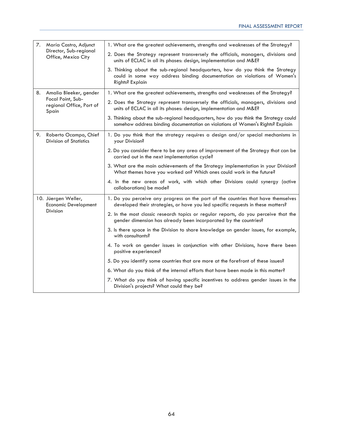|    | 7. María Castro, Adjunct                                       | 1. What are the greatest achievements, strengths and weaknesses of the Strategy?                                                                                              |
|----|----------------------------------------------------------------|-------------------------------------------------------------------------------------------------------------------------------------------------------------------------------|
|    | Director, Sub-regional<br>Office, Mexico City                  | 2. Does the Strategy represent transversely the officials, managers, divisions and<br>units of ECLAC in all its phases: design, implementation and M&E?                       |
|    |                                                                | 3. Thinking about the sub-regional headquarters, how do you think the Strategy<br>could in some way address binding documentation on violations of Women's<br>Rights? Explain |
|    | 8. Amalia Bleeker, gender                                      | 1. What are the greatest achievements, strengths and weaknesses of the Strategy?                                                                                              |
|    | Focal Point, Sub-<br>regional Office, Port of<br>Spain         | 2. Does the Strategy represent transversely the officials, managers, divisions and<br>units of ECLAC in all its phases: design, implementation and M&E?                       |
|    |                                                                | 3. Thinking about the sub-regional headquarters, how do you think the Strategy could<br>somehow address binding documentation on violations of Women's Rights? Explain        |
| 9. | Roberto Ocampo, Chief<br><b>Division of Statistics</b>         | 1. Do you think that the strategy requires a design and/or special mechanisms in<br>your Division?                                                                            |
|    |                                                                | 2. Do you consider there to be any area of improvement of the Strategy that can be<br>carried out in the next implementation cycle?                                           |
|    |                                                                | 3. What are the main achievements of the Strategy implementation in your Division?<br>What themes have you worked on? Which ones could work in the future?                    |
|    |                                                                | 4. In the new areas of work, with which other Divisions could synergy (active<br>collaborations) be made?                                                                     |
|    | 10. Jüergen Weller,<br><b>Economic Development</b><br>Division | 1. Do you perceive any progress on the part of the countries that have themselves<br>developed their strategies, or have you led specific requests in these matters?          |
|    |                                                                | 2. In the most classic research topics or regular reports, do you perceive that the<br>gender dimension has already been incorporated by the countries?                       |
|    |                                                                | 3. Is there space in the Division to share knowledge on gender issues, for example,<br>with consultants?                                                                      |
|    |                                                                | 4. To work on gender issues in conjunction with other Divisions, have there been<br>positive experiences?                                                                     |
|    |                                                                | 5. Do you identify some countries that are more at the forefront of these issues?                                                                                             |
|    |                                                                | 6. What do you think of the internal efforts that have been made in this matter?                                                                                              |
|    |                                                                | 7. What do you think of having specific incentives to address gender issues in the<br>Division's projects? What could they be?                                                |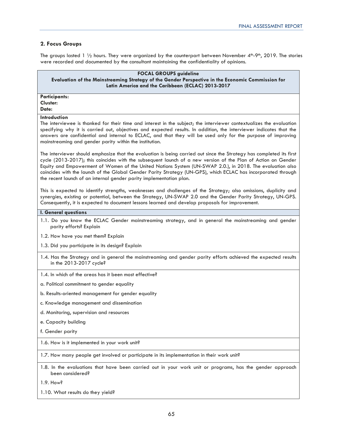### **2. Focus Groups**

The groups lasted 1  $\frac{1}{2}$  hours. They were organized by the counterpart between November 4th-9th, 2019. The stories were recorded and documented by the consultant maintaining the confidentiality of opinions.

### **FOCAL GROUPS guideline Evaluation of the Mainstreaming Strategy of the Gender Perspective in the Economic Commission for Latin America and the Caribbean (ECLAC) 2013-2017**

**Participants: Cluster:** 

**Date:** 

### **Introduction**

The interviewee is thanked for their time and interest in the subject; the interviewer contextualizes the evaluation specifying why it is carried out, objectives and expected results. In addition, the interviewer indicates that the answers are confidential and internal to ECLAC, and that they will be used only for the purpose of improving mainstreaming and gender parity within the institution.

The interviewer should emphasize that the evaluation is being carried out since the Strategy has completed its first cycle (2013-2017); this coincides with the subsequent launch of a new version of the Plan of Action on Gender Equity and Empowerment of Women of the United Nations System (UN-SWAP 2.0.), in 2018. The evaluation also coincides with the launch of the Global Gender Parity Strategy (UN-GPS), which ECLAC has incorporated through the recent launch of an internal gender parity implementation plan.

This is expected to identify strengths, weaknesses and challenges of the Strategy; also omissions, duplicity and synergies, existing or potential, between the Strategy, UN-SWAP 2.0 and the Gender Parity Strategy, UN-GPS. Consequently, it is expected to document lessons learned and develop proposals for improvement.

### **I. General questions**

- 1.1. Do you know the ECLAC Gender mainstreaming strategy, and in general the mainstreaming and gender parity efforts? Explain
- 1.2. How have you met them? Explain
- 1.3. Did you participate in its design? Explain
- 1.4. Has the Strategy and in general the mainstreaming and gender parity efforts achieved the expected results in the 2013-2017 cycle?
- 1.4. In which of the areas has it been most effective?
- a. Political commitment to gender equality
- b. Results-oriented management for gender equality
- c. Knowledge management and dissemination
- d. Monitoring, supervision and resources
- e. Capacity building
- f. Gender parity
- 1.6. How is it implemented in your work unit?

1.7. How many people get involved or participate in its implementation in their work unit?

- 1.8. In the evaluations that have been carried out in your work unit or programs, has the gender approach been considered?
- 1.9. How?
- 1.10. What results do they yield?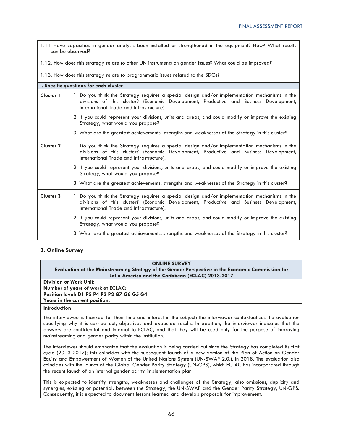| 1.11 Have capacities in gender analysis been installed or strengthened in the equipment? How? What results<br>can be observed? |                                                                                                                                                                                                                                      |  |  |
|--------------------------------------------------------------------------------------------------------------------------------|--------------------------------------------------------------------------------------------------------------------------------------------------------------------------------------------------------------------------------------|--|--|
| 1.12. How does this strategy relate to other UN instruments on gender issues? What could be improved?                          |                                                                                                                                                                                                                                      |  |  |
| 1.13. How does this strategy relate to programmatic issues related to the SDGs?                                                |                                                                                                                                                                                                                                      |  |  |
|                                                                                                                                | I. Specific questions for each cluster                                                                                                                                                                                               |  |  |
| <b>Cluster 1</b>                                                                                                               | 1. Do you think the Strategy requires a special design and/or implementation mechanisms in the<br>divisions of this cluster? (Economic Development, Productive and Business Development,<br>International Trade and Infrastructure). |  |  |
|                                                                                                                                | 2. If you could represent your divisions, units and areas, and could modify or improve the existing<br>Strategy, what would you propose?                                                                                             |  |  |
|                                                                                                                                | 3. What are the greatest achievements, strengths and weaknesses of the Strategy in this cluster?                                                                                                                                     |  |  |
| <b>Cluster 2</b>                                                                                                               | 1. Do you think the Strategy requires a special design and/or implementation mechanisms in the<br>divisions of this cluster? (Economic Development, Productive and Business Development,<br>International Trade and Infrastructure). |  |  |
|                                                                                                                                | 2. If you could represent your divisions, units and areas, and could modify or improve the existing<br>Strategy, what would you propose?                                                                                             |  |  |
|                                                                                                                                | 3. What are the greatest achievements, strengths and weaknesses of the Strategy in this cluster?                                                                                                                                     |  |  |
| <b>Cluster 3</b>                                                                                                               | 1. Do you think the Strategy requires a special design and/or implementation mechanisms in the<br>divisions of this cluster? (Economic Development, Productive and Business Development,<br>International Trade and Infrastructure). |  |  |
|                                                                                                                                | 2. If you could represent your divisions, units and areas, and could modify or improve the existing<br>Strategy, what would you propose?                                                                                             |  |  |
|                                                                                                                                | 3. What are the greatest achievements, strengths and weaknesses of the Strategy in this cluster?                                                                                                                                     |  |  |

### **3. Online Survey**

| <b>ONLINE SURVEY</b>                                                                                                  |  |  |
|-----------------------------------------------------------------------------------------------------------------------|--|--|
| Evaluation of the Mainstreaming Strategy of the Gender Perspective in the Economic Commission for                     |  |  |
| Latin America and the Caribbean (ECLAC) 2013-2017                                                                     |  |  |
| Division or Work Unit:                                                                                                |  |  |
| Number of years of work at ECLAC:                                                                                     |  |  |
| Position level: D1 P5 P4 P3 P2 G7 G6 G5 G4                                                                            |  |  |
| Years in the current position:                                                                                        |  |  |
| Introduction                                                                                                          |  |  |
| The international is therefore he that there and interest in the subject the international experimental the evolution |  |  |

The interviewee is thanked for their time and interest in the subject; the interviewer contextualizes the evaluation specifying why it is carried out, objectives and expected results. In addition, the interviewer indicates that the answers are confidential and internal to ECLAC, and that they will be used only for the purpose of improving mainstreaming and gender parity within the institution.

The interviewer should emphasize that the evaluation is being carried out since the Strategy has completed its first cycle (2013-2017); this coincides with the subsequent launch of a new version of the Plan of Action on Gender Equity and Empowerment of Women of the United Nations System (UN-SWAP 2.0.), in 2018. The evaluation also coincides with the launch of the Global Gender Parity Strategy (UN-GPS), which ECLAC has incorporated through the recent launch of an internal gender parity implementation plan.

This is expected to identify strengths, weaknesses and challenges of the Strategy; also omissions, duplicity and synergies, existing or potential, between the Strategy, the UN-SWAP and the Gender Parity Strategy, UN-GPS. Consequently, it is expected to document lessons learned and develop proposals for improvement.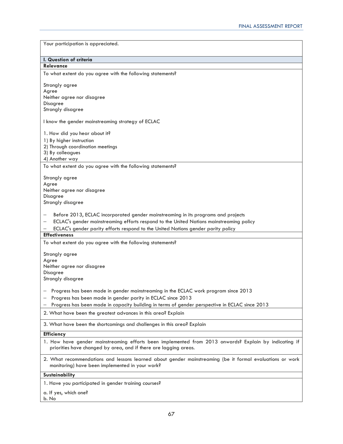| Your participation is appreciated.                                                                                                                                        |
|---------------------------------------------------------------------------------------------------------------------------------------------------------------------------|
|                                                                                                                                                                           |
|                                                                                                                                                                           |
| I. Question of criteria<br>Relevance                                                                                                                                      |
|                                                                                                                                                                           |
| To what extent do you agree with the following statements?                                                                                                                |
| Strongly agree                                                                                                                                                            |
| Agree                                                                                                                                                                     |
| Neither agree nor disagree<br>Disagree                                                                                                                                    |
| Strongly disagree                                                                                                                                                         |
| I know the gender mainstreaming strategy of ECLAC                                                                                                                         |
|                                                                                                                                                                           |
| 1. How did you hear about it?                                                                                                                                             |
| 1) By higher instruction                                                                                                                                                  |
| 2) Through coordination meetings                                                                                                                                          |
| 3) By colleagues                                                                                                                                                          |
| 4) Another way                                                                                                                                                            |
| To what extent do you agree with the following statements?                                                                                                                |
| Strongly agree                                                                                                                                                            |
| Agree                                                                                                                                                                     |
| Neither agree nor disagree                                                                                                                                                |
| <b>Disagree</b>                                                                                                                                                           |
| Strongly disagree                                                                                                                                                         |
| Before 2013, ECLAC incorporated gender mainstreaming in its programs and projects                                                                                         |
| ECLAC's gender mainstreaming efforts respond to the United Nations mainstreaming policy                                                                                   |
| ECLAC's gender parity efforts respond to the United Nations gender parity policy                                                                                          |
| <b>Effectiveness</b>                                                                                                                                                      |
| To what extent do you agree with the following statements?                                                                                                                |
|                                                                                                                                                                           |
| Strongly agree<br>Agree                                                                                                                                                   |
| Neither agree nor disagree                                                                                                                                                |
| Disagree                                                                                                                                                                  |
| Strongly disagree                                                                                                                                                         |
|                                                                                                                                                                           |
| Progress has been made in gender mainstreaming in the ECLAC work program since 2013                                                                                       |
| Progress has been made in gender parity in ECLAC since 2013                                                                                                               |
| Progress has been made in capacity building in terms of gender perspective in ECLAC since 2013                                                                            |
| 2. What have been the greatest advances in this area? Explain                                                                                                             |
| 3. What have been the shortcomings and challenges in this area? Explain                                                                                                   |
| <b>Efficiency</b>                                                                                                                                                         |
| 1. How have gender mainstreaming efforts been implemented from 2013 onwards? Explain by indicating if<br>priorities have changed by area, and if there are lagging areas. |
|                                                                                                                                                                           |
| 2. What recommendations and lessons learned about gender mainstreaming (be it formal evaluations or work<br>monitoring) have been implemented in your work?               |
| Sustainability                                                                                                                                                            |
| 1. Have you participated in gender training courses?                                                                                                                      |
|                                                                                                                                                                           |
| a. If yes, which one?<br>b. No                                                                                                                                            |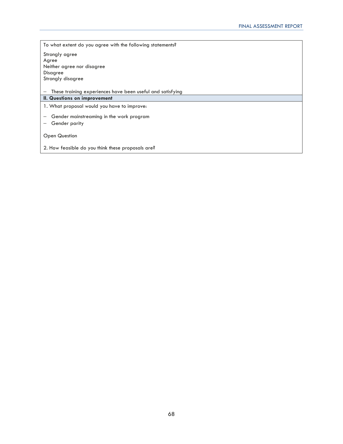To what extent do you agree with the following statements? Strongly agree Agree Neither agree nor disagree Disagree Strongly disagree

− These training experiences have been useful and satisfying

### **II. Questions on improvement**

1. What proposal would you have to improve:

− Gender mainstreaming in the work program

− Gender parity

Open Question

2. How feasible do you think these proposals are?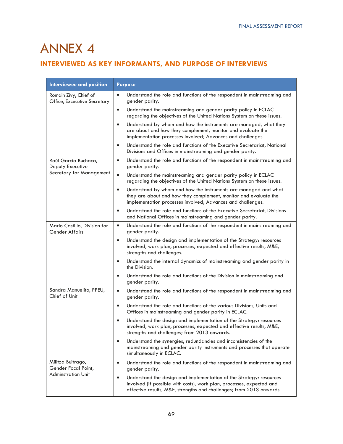## ANNEX 4

### **INTERVIEWED AS KEY INFORMANTS, AND PURPOSE OF INTERVIEWS**

| Interviewee and position                              | <b>Purpose</b>                                                                                                                                                                                                            |
|-------------------------------------------------------|---------------------------------------------------------------------------------------------------------------------------------------------------------------------------------------------------------------------------|
| Romain Zivy, Chief of<br>Office, Excecutive Secretary | Understand the role and functions of the respondent in mainstreaming and<br>$\bullet$<br>gender parity.                                                                                                                   |
|                                                       | Understand the mainstreaming and gender parity policy in ECLAC<br>$\bullet$<br>regarding the objectives of the United Nations System on these issues.                                                                     |
|                                                       | Understand by whom and how the instruments are managed, what they<br>$\bullet$<br>are about and how they complement, monitor and evaluate the<br>implementation processes involved; Advances and challenges.              |
|                                                       | Understand the role and functions of the Executive Secretariat, National<br>$\bullet$<br>Divisions and Offices in mainstreaming and gender parity.                                                                        |
| Raúl García Buchaca,<br>Deputy Executive              | Understand the role and functions of the respondent in mainstreaming and<br>$\bullet$<br>gender parity.                                                                                                                   |
| Secretary for Management                              | $\bullet$<br>Understand the mainstreaming and gender parity policy in ECLAC<br>regarding the objectives of the United Nations System on these issues.                                                                     |
|                                                       | Understand by whom and how the instruments are managed and what<br>$\bullet$<br>they are about and how they complement, monitor and evaluate the<br>implementation processes involved; Advances and challenges.           |
|                                                       | Understand the role and functions of the Executive Secretariat, Divisions<br>$\bullet$<br>and National Offices in mainstreaming and gender parity.                                                                        |
| Mario Castillo, Division for<br><b>Gender Affairs</b> | $\bullet$<br>Understand the role and functions of the respondent in mainstreaming and<br>gender parity.                                                                                                                   |
|                                                       | Understand the design and implementation of the Strategy: resources<br>$\bullet$<br>involved, work plan, processes, expected and effective results, M&E,<br>strengths and challenges.                                     |
|                                                       | Understand the internal dynamics of mainstreaming and gender parity in<br>$\bullet$<br>the Division.                                                                                                                      |
|                                                       | Understand the role and functions of the Division in mainstreaming and<br>$\bullet$<br>gender parity.                                                                                                                     |
| Sandra Manuelito, PPEU,<br>Chief of Unit              | $\bullet$<br>Understand the role and functions of the respondent in mainstreaming and<br>gender parity.                                                                                                                   |
|                                                       | $\bullet$<br>Understand the role and functions of the various Divisions, Units and<br>Offices in mainstreaming and gender parity in ECLAC.                                                                                |
|                                                       | Understand the design and implementation of the Strategy: resources<br>$\bullet$<br>involved, work plan, processes, expected and effective results, M&E,<br>strengths and challenges; from 2013 onwards.                  |
|                                                       | Understand the synergies, redundancies and inconsistencies of the<br>$\bullet$<br>mainstreaming and gender parity instruments and processes that operate<br>simultaneously in ECLAC.                                      |
| Militza Buitrago,<br>Gender Focal Point,              | Understand the role and functions of the respondent in mainstreaming and<br>$\bullet$<br>gender parity.                                                                                                                   |
| <b>Adminstration Unit</b>                             | Understand the design and implementation of the Strategy: resources<br>٠<br>involved (if possible with costs), work plan, processes, expected and<br>effective results, M&E, strengths and challenges; from 2013 onwards. |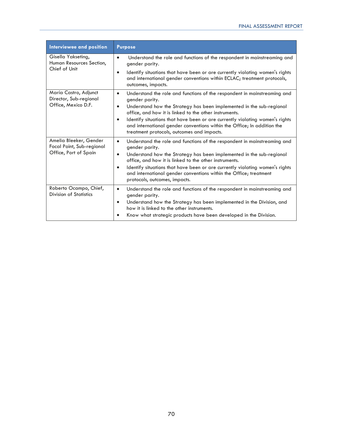| Interviewee and position                                                     | <b>Purpose</b>                                                                                                                                                                                                                                                                                                                                                                                                                                                               |
|------------------------------------------------------------------------------|------------------------------------------------------------------------------------------------------------------------------------------------------------------------------------------------------------------------------------------------------------------------------------------------------------------------------------------------------------------------------------------------------------------------------------------------------------------------------|
| Gisella Yakseting,<br>Human Resources Section,<br>Chief of Unit              | $\bullet$<br>Understand the role and functions of the respondent in mainstreaming and<br>gender parity.<br>Identify situations that have been or are currently violating women's rights<br>$\bullet$<br>and international gender conventions within ECLAC; treatment protocols,<br>outcomes, impacts.                                                                                                                                                                        |
| María Castro, Adjunct<br>Director, Sub-regional<br>Office, Mexico D.F.       | Understand the role and functions of the respondent in mainstreaming and<br>$\bullet$<br>gender parity.<br>Understand how the Strategy has been implemented in the sub-regional<br>$\bullet$<br>office, and how it is linked to the other instruments.<br>Identify situations that have been or are currently violating women's rights<br>$\bullet$<br>and international gender conventions within the Office; In addition the<br>treatment protocols, outcomes and impacts. |
| Amelia Bleeker, Gender<br>Focal Point, Sub-regional<br>Office, Port of Spain | $\bullet$<br>Understand the role and functions of the respondent in mainstreaming and<br>gender parity.<br>Understand how the Strategy has been implemented in the sub-regional<br>$\bullet$<br>office, and how it is linked to the other instruments.<br>Identify situations that have been or are currently violating women's rights<br>$\bullet$<br>and international gender conventions within the Office; treatment<br>protocols, outcomes, impacts.                    |
| Roberto Ocampo, Chief,<br><b>Division of Statistics</b>                      | Understand the role and functions of the respondent in mainstreaming and<br>$\bullet$<br>gender parity.<br>Understand how the Strategy has been implemented in the Division, and<br>$\bullet$<br>how it is linked to the other instruments.<br>Know what strategic products have been developed in the Division.                                                                                                                                                             |